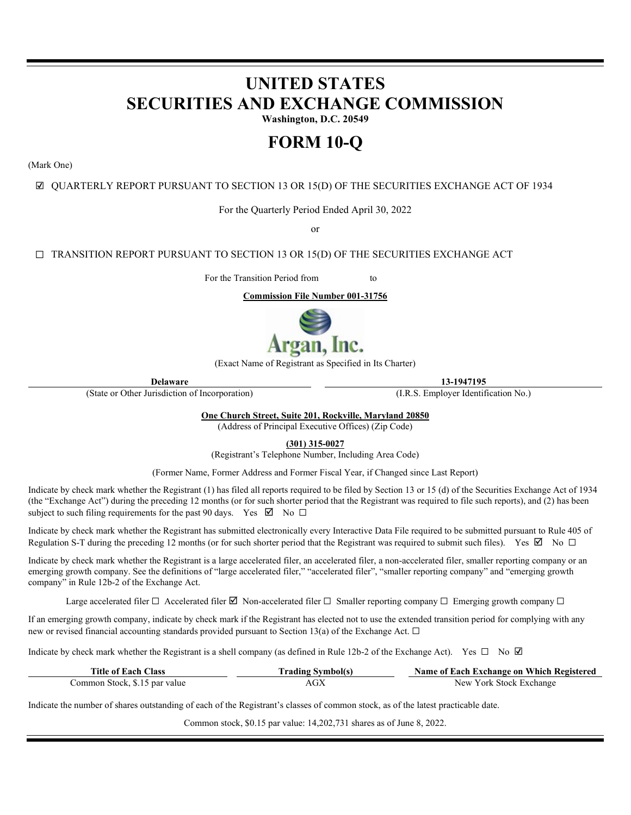# **UNITED STATES SECURITIES AND EXCHANGE COMMISSION**

**Washington, D.C. 20549** 

## **FORM 10-Q**

(Mark One)

☑ QUARTERLY REPORT PURSUANT TO SECTION 13 OR 15(D) OF THE SECURITIES EXCHANGE ACT OF 1934

For the Quarterly Period Ended April 30, 2022

or

☐ TRANSITION REPORT PURSUANT TO SECTION 13 OR 15(D) OF THE SECURITIES EXCHANGE ACT

For the Transition Period from to

**Commission File Number 001-31756**



(Exact Name of Registrant as Specified in Its Charter)

(State or Other Jurisdiction of Incorporation) (I.R.S. Employer Identification No.)

**Delaware 13-1947195**

**One Church Street, Suite 201, Rockville, Maryland 20850**

(Address of Principal Executive Offices) (Zip Code)

**(301) 315-0027**

(Registrant's Telephone Number, Including Area Code)

(Former Name, Former Address and Former Fiscal Year, if Changed since Last Report)

Indicate by check mark whether the Registrant (1) has filed all reports required to be filed by Section 13 or 15 (d) of the Securities Exchange Act of 1934 (the "Exchange Act") during the preceding 12 months (or for such shorter period that the Registrant was required to file such reports), and (2) has been subject to such filing requirements for the past 90 days. Yes  $\boxtimes$  No  $\Box$ 

Indicate by check mark whether the Registrant has submitted electronically every Interactive Data File required to be submitted pursuant to Rule 405 of Regulation S-T during the preceding 12 months (or for such shorter period that the Registrant was required to submit such files). Yes  $\boxtimes$  No  $\Box$ 

Indicate by check mark whether the Registrant is a large accelerated filer, an accelerated filer, a non-accelerated filer, smaller reporting company or an emerging growth company. See the definitions of "large accelerated filer," "accelerated filer", "smaller reporting company" and "emerging growth company" in Rule 12b-2 of the Exchange Act.

Large accelerated filer  $\Box$  Accelerated filer  $\Box$  Non-accelerated filer  $\Box$  Smaller reporting company  $\Box$  Emerging growth company  $\Box$ 

If an emerging growth company, indicate by check mark if the Registrant has elected not to use the extended transition period for complying with any new or revised financial accounting standards provided pursuant to Section 13(a) of the Exchange Act.  $\Box$ 

Indicate by check mark whether the Registrant is a shell company (as defined in Rule 12b-2 of the Exchange Act). Yes  $\Box$  No  $\Box$ 

| <b>Title of Each Class</b>    | <b>Trading Symbol(s)</b> | Name of Each Exchange on Which Registered |
|-------------------------------|--------------------------|-------------------------------------------|
| Common Stock, \$.15 par value | $\rm AGX$                | New York Stock Exchange                   |

Indicate the number of shares outstanding of each of the Registrant's classes of common stock, as of the latest practicable date.

Common stock, \$0.15 par value: 14,202,731 shares as of June 8, 2022.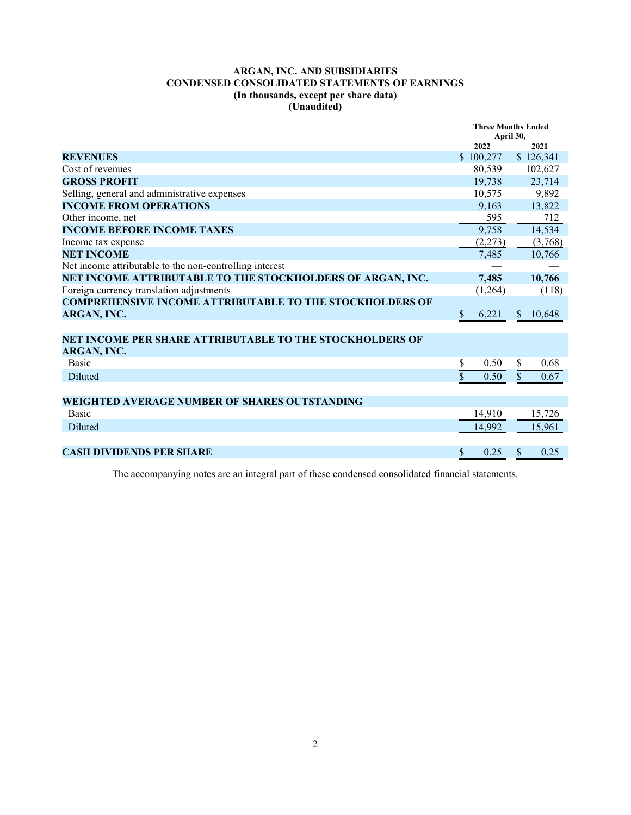## **ARGAN, INC. AND SUBSIDIARIES CONDENSED CONSOLIDATED STATEMENTS OF EARNINGS (In thousands, except per share data) (Unaudited)**

|                                                                 | <b>Three Months Ended</b> |           |               |           |
|-----------------------------------------------------------------|---------------------------|-----------|---------------|-----------|
|                                                                 | April 30,<br>2022<br>2021 |           |               |           |
|                                                                 |                           |           |               |           |
| <b>REVENUES</b>                                                 |                           | \$100,277 |               | \$126,341 |
| Cost of revenues                                                |                           | 80,539    |               | 102,627   |
| <b>GROSS PROFIT</b>                                             |                           | 19,738    |               | 23,714    |
| Selling, general and administrative expenses                    |                           | 10.575    |               | 9,892     |
| <b>INCOME FROM OPERATIONS</b>                                   |                           | 9.163     |               | 13.822    |
| Other income, net                                               |                           | 595       |               | 712       |
| <b>INCOME BEFORE INCOME TAXES</b>                               |                           | 9,758     |               | 14,534    |
| Income tax expense                                              |                           | (2,273)   |               | (3,768)   |
| <b>NET INCOME</b>                                               |                           | 7,485     |               | 10,766    |
| Net income attributable to the non-controlling interest         |                           |           |               |           |
| NET INCOME ATTRIBUTABLE TO THE STOCKHOLDERS OF ARGAN, INC.      |                           | 7,485     |               | 10,766    |
| Foreign currency translation adjustments                        |                           | (1,264)   |               | (118)     |
| <b>COMPREHENSIVE INCOME ATTRIBUTABLE TO THE STOCKHOLDERS OF</b> |                           |           |               |           |
| ARGAN, INC.                                                     | \$                        | 6,221     | S             | 10,648    |
|                                                                 |                           |           |               |           |
| NET INCOME PER SHARE ATTRIBUTABLE TO THE STOCKHOLDERS OF        |                           |           |               |           |
| ARGAN, INC.                                                     |                           |           |               |           |
| <b>Basic</b>                                                    | \$                        | 0.50      | \$            | 0.68      |
| Diluted                                                         | \$                        | 0.50      | \$            | 0.67      |
|                                                                 |                           |           |               |           |
| <b>WEIGHTED AVERAGE NUMBER OF SHARES OUTSTANDING</b>            |                           |           |               |           |
| <b>Basic</b>                                                    |                           | 14,910    |               | 15,726    |
| Diluted                                                         |                           | 14,992    |               | 15,961    |
|                                                                 |                           |           |               |           |
| <b>CASH DIVIDENDS PER SHARE</b>                                 | \$.                       | 0.25      | <sup>\$</sup> | 0.25      |
|                                                                 |                           |           |               |           |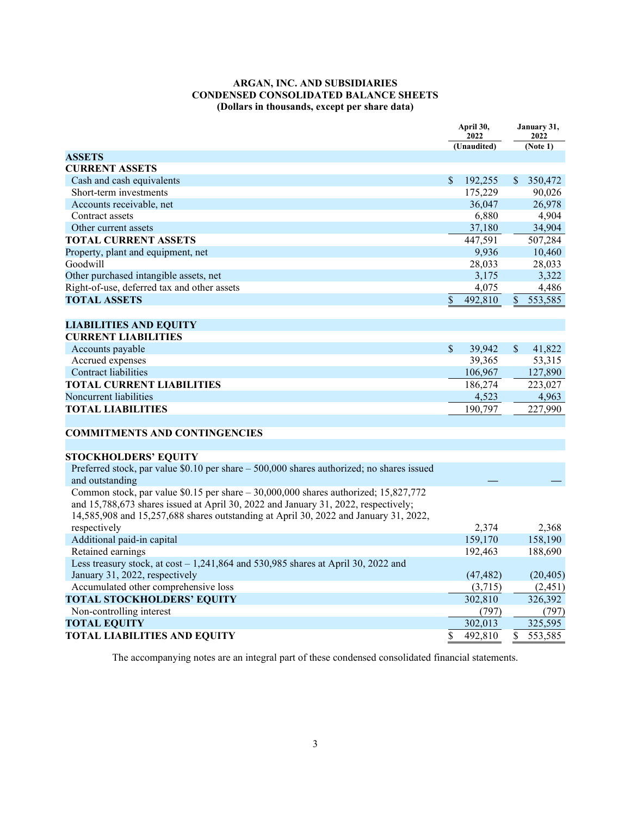## **ARGAN, INC. AND SUBSIDIARIES CONDENSED CONSOLIDATED BALANCE SHEETS (Dollars in thousands, except per share data)**

|                                                                                                                                                                                                                                                                   |               | April 30,<br>2022 |               | January 31,<br>2022 |
|-------------------------------------------------------------------------------------------------------------------------------------------------------------------------------------------------------------------------------------------------------------------|---------------|-------------------|---------------|---------------------|
|                                                                                                                                                                                                                                                                   |               | (Unaudited)       |               | (Note 1)            |
| <b>ASSETS</b>                                                                                                                                                                                                                                                     |               |                   |               |                     |
| <b>CURRENT ASSETS</b>                                                                                                                                                                                                                                             |               |                   |               |                     |
| Cash and cash equivalents                                                                                                                                                                                                                                         | \$            | 192,255           | \$            | 350,472             |
| Short-term investments                                                                                                                                                                                                                                            |               | 175,229           |               | 90,026              |
| Accounts receivable, net                                                                                                                                                                                                                                          |               | 36,047            |               | 26,978              |
| Contract assets                                                                                                                                                                                                                                                   |               | 6,880             |               | 4,904               |
| Other current assets                                                                                                                                                                                                                                              |               | 37,180            |               | 34,904              |
| <b>TOTAL CURRENT ASSETS</b>                                                                                                                                                                                                                                       |               | 447,591           |               | 507,284             |
| Property, plant and equipment, net                                                                                                                                                                                                                                |               | 9,936             |               | 10,460              |
| Goodwill                                                                                                                                                                                                                                                          |               | 28,033            |               | 28,033              |
| Other purchased intangible assets, net                                                                                                                                                                                                                            |               | 3,175             |               | 3,322               |
| Right-of-use, deferred tax and other assets                                                                                                                                                                                                                       |               | 4,075             |               | 4,486               |
| <b>TOTAL ASSETS</b>                                                                                                                                                                                                                                               | \$            | 492,810           | $\mathbb{S}$  | 553,585             |
|                                                                                                                                                                                                                                                                   |               |                   |               |                     |
| <b>LIABILITIES AND EQUITY</b>                                                                                                                                                                                                                                     |               |                   |               |                     |
| <b>CURRENT LIABILITIES</b>                                                                                                                                                                                                                                        |               |                   |               |                     |
| Accounts payable                                                                                                                                                                                                                                                  | $\mathcal{S}$ | 39,942            | $\mathcal{S}$ | 41,822              |
| Accrued expenses                                                                                                                                                                                                                                                  |               | 39,365            |               | 53,315              |
| <b>Contract liabilities</b>                                                                                                                                                                                                                                       |               | 106,967           |               | 127,890             |
| <b>TOTAL CURRENT LIABILITIES</b>                                                                                                                                                                                                                                  |               | 186,274           |               | 223,027             |
| Noncurrent liabilities                                                                                                                                                                                                                                            |               | 4,523             |               | 4,963               |
| <b>TOTAL LIABILITIES</b>                                                                                                                                                                                                                                          |               | 190,797           |               | 227,990             |
|                                                                                                                                                                                                                                                                   |               |                   |               |                     |
| <b>COMMITMENTS AND CONTINGENCIES</b>                                                                                                                                                                                                                              |               |                   |               |                     |
|                                                                                                                                                                                                                                                                   |               |                   |               |                     |
| <b>STOCKHOLDERS' EQUITY</b>                                                                                                                                                                                                                                       |               |                   |               |                     |
| Preferred stock, par value \$0.10 per share - 500,000 shares authorized; no shares issued<br>and outstanding                                                                                                                                                      |               |                   |               |                     |
| Common stock, par value \$0.15 per share - 30,000,000 shares authorized; 15,827,772<br>and 15,788,673 shares issued at April 30, 2022 and January 31, 2022, respectively;<br>14,585,908 and 15,257,688 shares outstanding at April 30, 2022 and January 31, 2022, |               |                   |               |                     |
| respectively                                                                                                                                                                                                                                                      |               | 2.374             |               | 2,368               |
| Additional paid-in capital                                                                                                                                                                                                                                        |               | 159,170           |               | 158,190             |
| Retained earnings                                                                                                                                                                                                                                                 |               | 192,463           |               | 188,690             |
| Less treasury stock, at $cost - 1,241,864$ and 530,985 shares at April 30, 2022 and<br>January 31, 2022, respectively                                                                                                                                             |               | (47, 482)         |               | (20, 405)           |
| Accumulated other comprehensive loss                                                                                                                                                                                                                              |               | (3,715)           |               | (2, 451)            |
| <b>TOTAL STOCKHOLDERS' EQUITY</b>                                                                                                                                                                                                                                 |               | 302,810           |               | 326,392             |
| Non-controlling interest                                                                                                                                                                                                                                          |               | (797)             |               | (797)               |
| <b>TOTAL EQUITY</b>                                                                                                                                                                                                                                               |               | 302,013           |               | 325,595             |
|                                                                                                                                                                                                                                                                   |               |                   |               |                     |
| <b>TOTAL LIABILITIES AND EQUITY</b>                                                                                                                                                                                                                               | \$            | 492,810           | \$            | 553,585             |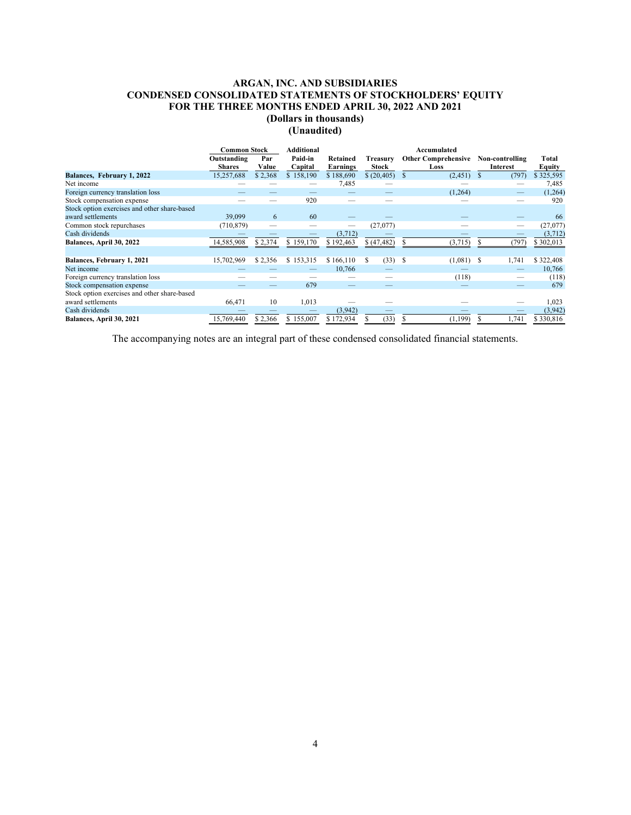## **ARGAN, INC. AND SUBSIDIARIES CONDENSED CONSOLIDATED STATEMENTS OF STOCKHOLDERS' EQUITY FOR THE THREE MONTHS ENDED APRIL 30, 2022 AND 2021**

## **(Dollars in thousands)**

**(Unaudited)**

|                                                                   | <b>Common Stock</b>          |              | <b>Additional</b>  |                      |                          | Accumulated                        |                             |                 |
|-------------------------------------------------------------------|------------------------------|--------------|--------------------|----------------------|--------------------------|------------------------------------|-----------------------------|-----------------|
|                                                                   | Outstanding<br><b>Shares</b> | Par<br>Value | Paid-in<br>Capital | Retained<br>Earnings | Treasury<br><b>Stock</b> | <b>Other Comprehensive</b><br>Loss | Non-controlling<br>Interest | Total<br>Equity |
| Balances, February 1, 2022                                        | 15,257,688                   | \$2,368      | \$158,190          | \$188,690            | \$ (20, 405) \$          | (2, 451)                           | (797)<br>S                  | \$325,595       |
| Net income                                                        |                              |              |                    | 7,485                |                          |                                    |                             | 7,485           |
| Foreign currency translation loss                                 |                              |              |                    |                      |                          | (1,264)                            |                             | (1,264)         |
| Stock compensation expense                                        |                              |              | 920                |                      |                          |                                    |                             | 920             |
| Stock option exercises and other share-based                      |                              |              |                    |                      |                          |                                    |                             |                 |
| award settlements                                                 | 39,099                       | 6            | 60                 |                      |                          |                                    |                             | -66             |
| Common stock repurchases                                          | (710, 879)                   |              |                    |                      | (27,077)                 |                                    |                             | (27,077)        |
| Cash dividends                                                    |                              |              |                    | (3, 712)             |                          |                                    |                             | (3,712)         |
| Balances, April 30, 2022                                          | 14,585,908                   | \$2,374      | \$159,170          | \$192,463            | (47, 482)                | (3,715)                            | (797)                       | \$302,013       |
| Balances, February 1, 2021                                        | 15,702,969                   | \$2,356      | \$153,315          | \$166,110            | $(33)$ \$<br>S.          | $(1,081)$ \$                       | 1,741                       | \$322,408       |
| Net income                                                        |                              |              |                    | 10,766               |                          |                                    |                             | 10,766          |
| Foreign currency translation loss                                 |                              |              |                    |                      |                          | (118)                              |                             | (118)           |
| Stock compensation expense                                        |                              |              | 679                |                      |                          |                                    |                             | 679             |
| Stock option exercises and other share-based<br>award settlements | 66,471                       | 10           | 1,013              |                      |                          |                                    |                             | 1,023           |
| Cash dividends                                                    |                              |              |                    | (3,942)              |                          |                                    |                             | (3,942)         |
| Balances, April 30, 2021                                          | 15.769,440                   | \$2,366      | \$155,007          | \$172,934            | (33)                     | (1, 199)                           | 1,741                       | \$330,816       |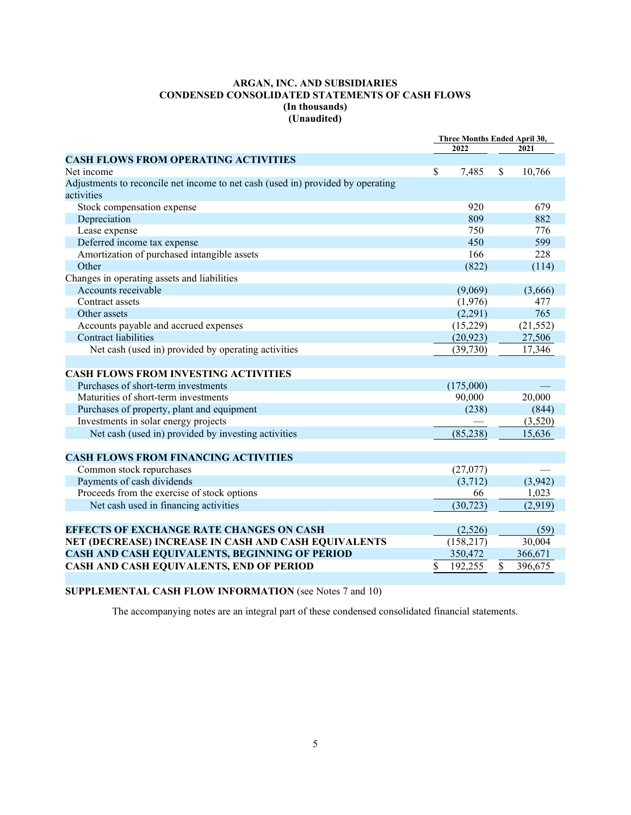## **ARGAN, INC. AND SUBSIDIARIES CONDENSED CONSOLIDATED STATEMENTS OF CASH FLOWS (In thousands) (Unaudited)**

|                                                                                 | Three Months Ended April 30, |            |    |           |
|---------------------------------------------------------------------------------|------------------------------|------------|----|-----------|
|                                                                                 |                              | 2022       |    | 2021      |
| <b>CASH FLOWS FROM OPERATING ACTIVITIES</b>                                     |                              |            |    |           |
| Net income                                                                      | \$                           | 7,485      | \$ | 10,766    |
| Adjustments to reconcile net income to net cash (used in) provided by operating |                              |            |    |           |
| activities                                                                      |                              |            |    |           |
| Stock compensation expense                                                      |                              | 920        |    | 679       |
| Depreciation                                                                    |                              | 809        |    | 882       |
| Lease expense                                                                   |                              | 750        |    | 776       |
| Deferred income tax expense                                                     |                              | 450        |    | 599       |
| Amortization of purchased intangible assets                                     |                              | 166        |    | 228       |
| Other                                                                           |                              | (822)      |    | (114)     |
| Changes in operating assets and liabilities                                     |                              |            |    |           |
| Accounts receivable                                                             |                              | (9,069)    |    | (3,666)   |
| Contract assets                                                                 |                              | (1,976)    |    | 477       |
| Other assets                                                                    |                              | (2,291)    |    | 765       |
| Accounts payable and accrued expenses                                           |                              | (15,229)   |    | (21, 552) |
| <b>Contract liabilities</b>                                                     |                              | (20, 923)  |    | 27,506    |
| Net cash (used in) provided by operating activities                             |                              | (39,730)   |    | 17,346    |
|                                                                                 |                              |            |    |           |
| <b>CASH FLOWS FROM INVESTING ACTIVITIES</b>                                     |                              |            |    |           |
| Purchases of short-term investments                                             |                              | (175,000)  |    |           |
| Maturities of short-term investments                                            |                              | 90,000     |    | 20,000    |
| Purchases of property, plant and equipment                                      |                              | (238)      |    | (844)     |
| Investments in solar energy projects                                            |                              |            |    | (3,520)   |
| Net cash (used in) provided by investing activities                             |                              | (85, 238)  |    | 15,636    |
|                                                                                 |                              |            |    |           |
| <b>CASH FLOWS FROM FINANCING ACTIVITIES</b>                                     |                              |            |    |           |
| Common stock repurchases                                                        |                              | (27,077)   |    |           |
| Payments of cash dividends                                                      |                              | (3,712)    |    | (3,942)   |
| Proceeds from the exercise of stock options                                     |                              | 66         |    | 1,023     |
| Net cash used in financing activities                                           |                              | (30, 723)  |    | (2,919)   |
|                                                                                 |                              |            |    |           |
| <b>EFFECTS OF EXCHANGE RATE CHANGES ON CASH</b>                                 |                              | (2,526)    |    | (59)      |
| NET (DECREASE) INCREASE IN CASH AND CASH EQUIVALENTS                            |                              | (158, 217) |    | 30,004    |
| CASH AND CASH EQUIVALENTS, BEGINNING OF PERIOD                                  |                              | 350,472    |    | 366,671   |
| CASH AND CASH EQUIVALENTS, END OF PERIOD                                        | \$                           | 192,255    | \$ | 396,675   |
|                                                                                 |                              |            |    |           |

**SUPPLEMENTAL CASH FLOW INFORMATION** (see Notes 7 and 10)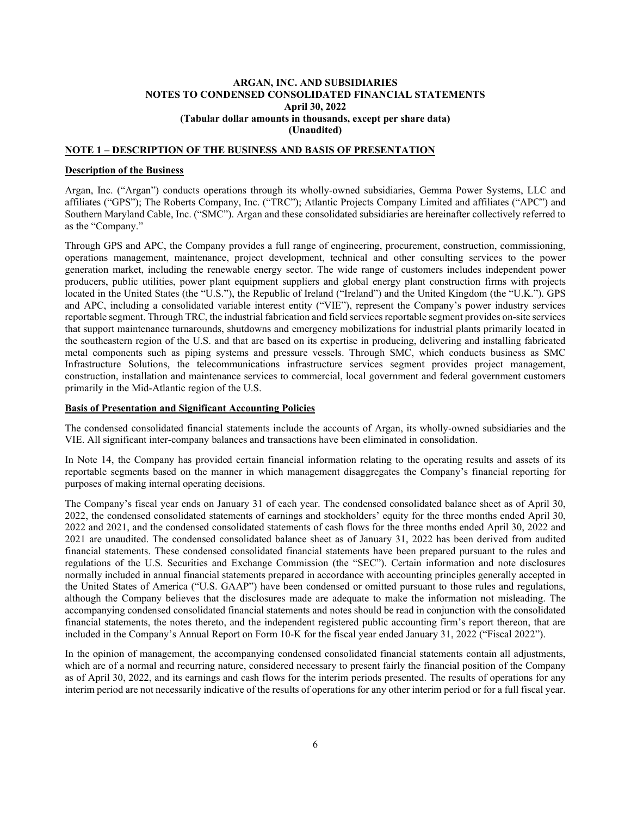## **ARGAN, INC. AND SUBSIDIARIES NOTES TO CONDENSED CONSOLIDATED FINANCIAL STATEMENTS April 30, 2022 (Tabular dollar amounts in thousands, except per share data) (Unaudited)**

## **NOTE 1 – DESCRIPTION OF THE BUSINESS AND BASIS OF PRESENTATION**

#### **Description of the Business**

Argan, Inc. ("Argan") conducts operations through its wholly-owned subsidiaries, Gemma Power Systems, LLC and affiliates ("GPS"); The Roberts Company, Inc. ("TRC"); Atlantic Projects Company Limited and affiliates ("APC") and Southern Maryland Cable, Inc. ("SMC"). Argan and these consolidated subsidiaries are hereinafter collectively referred to as the "Company."

Through GPS and APC, the Company provides a full range of engineering, procurement, construction, commissioning, operations management, maintenance, project development, technical and other consulting services to the power generation market, including the renewable energy sector. The wide range of customers includes independent power producers, public utilities, power plant equipment suppliers and global energy plant construction firms with projects located in the United States (the "U.S."), the Republic of Ireland ("Ireland") and the United Kingdom (the "U.K."). GPS and APC, including a consolidated variable interest entity ("VIE"), represent the Company's power industry services reportable segment. Through TRC, the industrial fabrication and field services reportable segment provides on-site services that support maintenance turnarounds, shutdowns and emergency mobilizations for industrial plants primarily located in the southeastern region of the U.S. and that are based on its expertise in producing, delivering and installing fabricated metal components such as piping systems and pressure vessels. Through SMC, which conducts business as SMC Infrastructure Solutions, the telecommunications infrastructure services segment provides project management, construction, installation and maintenance services to commercial, local government and federal government customers primarily in the Mid-Atlantic region of the U.S.

#### **Basis of Presentation and Significant Accounting Policies**

The condensed consolidated financial statements include the accounts of Argan, its wholly-owned subsidiaries and the VIE. All significant inter-company balances and transactions have been eliminated in consolidation.

In Note 14, the Company has provided certain financial information relating to the operating results and assets of its reportable segments based on the manner in which management disaggregates the Company's financial reporting for purposes of making internal operating decisions.

The Company's fiscal year ends on January 31 of each year. The condensed consolidated balance sheet as of April 30, 2022, the condensed consolidated statements of earnings and stockholders' equity for the three months ended April 30, 2022 and 2021, and the condensed consolidated statements of cash flows for the three months ended April 30, 2022 and 2021 are unaudited. The condensed consolidated balance sheet as of January 31, 2022 has been derived from audited financial statements. These condensed consolidated financial statements have been prepared pursuant to the rules and regulations of the U.S. Securities and Exchange Commission (the "SEC"). Certain information and note disclosures normally included in annual financial statements prepared in accordance with accounting principles generally accepted in the United States of America ("U.S. GAAP") have been condensed or omitted pursuant to those rules and regulations, although the Company believes that the disclosures made are adequate to make the information not misleading. The accompanying condensed consolidated financial statements and notes should be read in conjunction with the consolidated financial statements, the notes thereto, and the independent registered public accounting firm's report thereon, that are included in the Company's Annual Report on Form 10-K for the fiscal year ended January 31, 2022 ("Fiscal 2022").

In the opinion of management, the accompanying condensed consolidated financial statements contain all adjustments, which are of a normal and recurring nature, considered necessary to present fairly the financial position of the Company as of April 30, 2022, and its earnings and cash flows for the interim periods presented. The results of operations for any interim period are not necessarily indicative of the results of operations for any other interim period or for a full fiscal year.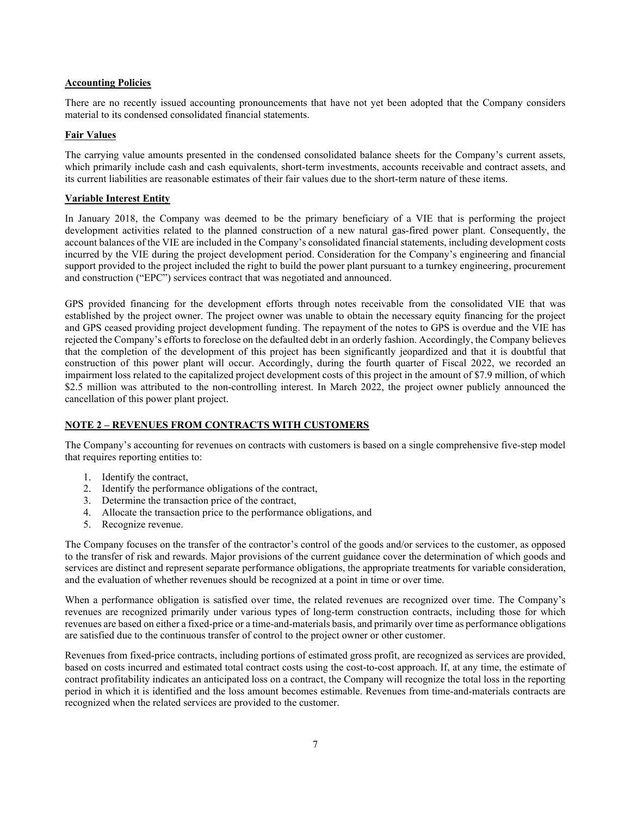## **Accounting Policies**

There are no recently issued accounting pronouncements that have not yet been adopted that the Company considers material to its condensed consolidated financial statements.

## **Fair Values**

The carrying value amounts presented in the condensed consolidated balance sheets for the Company's current assets, which primarily include cash and cash equivalents, short-term investments, accounts receivable and contract assets, and its current liabilities are reasonable estimates of their fair values due to the short-term nature of these items.

#### **Variable Interest Entity**

In January 2018, the Company was deemed to be the primary beneficiary of a VIE that is performing the project development activities related to the planned construction of a new natural gas-fired power plant. Consequently, the account balances of the VIE are included in the Company's consolidated financial statements, including development costs incurred by the VIE during the project development period. Consideration for the Company's engineering and financial support provided to the project included the right to build the power plant pursuant to a turnkey engineering, procurement and construction ("EPC") services contract that was negotiated and announced.

GPS provided financing for the development efforts through notes receivable from the consolidated VIE that was established by the project owner. The project owner was unable to obtain the necessary equity financing for the project and GPS ceased providing project development funding. The repayment of the notes to GPS is overdue and the VIE has rejected the Company's efforts to foreclose on the defaulted debt in an orderly fashion. Accordingly, the Company believes that the completion of the development of this project has been significantly jeopardized and that it is doubtful that construction of this power plant will occur. Accordingly, during the fourth quarter of Fiscal 2022, we recorded an impairment loss related to the capitalized project development costs of this project in the amount of \$7.9 million, of which \$2.5 million was attributed to the non-controlling interest. In March 2022, the project owner publicly announced the cancellation of this power plant project.

## **NOTE 2 – REVENUES FROM CONTRACTS WITH CUSTOMERS**

The Company's accounting for revenues on contracts with customers is based on a single comprehensive five-step model that requires reporting entities to:

- 1. Identify the contract,
- 2. Identify the performance obligations of the contract,
- 3. Determine the transaction price of the contract,
- 4. Allocate the transaction price to the performance obligations, and
- 5. Recognize revenue.

The Company focuses on the transfer of the contractor's control of the goods and/or services to the customer, as opposed to the transfer of risk and rewards. Major provisions of the current guidance cover the determination of which goods and services are distinct and represent separate performance obligations, the appropriate treatments for variable consideration, and the evaluation of whether revenues should be recognized at a point in time or over time.

When a performance obligation is satisfied over time, the related revenues are recognized over time. The Company's revenues are recognized primarily under various types of long-term construction contracts, including those for which revenues are based on either a fixed-price or a time-and-materials basis, and primarily over time as performance obligations are satisfied due to the continuous transfer of control to the project owner or other customer.

Revenues from fixed-price contracts, including portions of estimated gross profit, are recognized as services are provided, based on costs incurred and estimated total contract costs using the cost-to-cost approach. If, at any time, the estimate of contract profitability indicates an anticipated loss on a contract, the Company will recognize the total loss in the reporting period in which it is identified and the loss amount becomes estimable. Revenues from time-and-materials contracts are recognized when the related services are provided to the customer.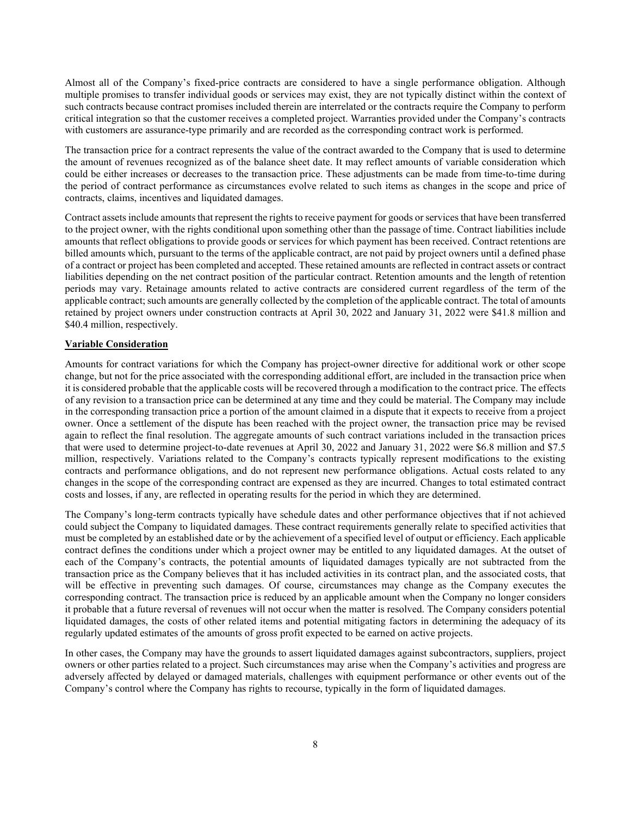Almost all of the Company's fixed-price contracts are considered to have a single performance obligation. Although multiple promises to transfer individual goods or services may exist, they are not typically distinct within the context of such contracts because contract promises included therein are interrelated or the contracts require the Company to perform critical integration so that the customer receives a completed project. Warranties provided under the Company's contracts with customers are assurance-type primarily and are recorded as the corresponding contract work is performed.

The transaction price for a contract represents the value of the contract awarded to the Company that is used to determine the amount of revenues recognized as of the balance sheet date. It may reflect amounts of variable consideration which could be either increases or decreases to the transaction price. These adjustments can be made from time-to-time during the period of contract performance as circumstances evolve related to such items as changes in the scope and price of contracts, claims, incentives and liquidated damages.

Contract assets include amounts that represent the rights to receive payment for goods or services that have been transferred to the project owner, with the rights conditional upon something other than the passage of time. Contract liabilities include amounts that reflect obligations to provide goods or services for which payment has been received. Contract retentions are billed amounts which, pursuant to the terms of the applicable contract, are not paid by project owners until a defined phase of a contract or project has been completed and accepted. These retained amounts are reflected in contract assets or contract liabilities depending on the net contract position of the particular contract. Retention amounts and the length of retention periods may vary. Retainage amounts related to active contracts are considered current regardless of the term of the applicable contract; such amounts are generally collected by the completion of the applicable contract. The total of amounts retained by project owners under construction contracts at April 30, 2022 and January 31, 2022 were \$41.8 million and \$40.4 million, respectively.

#### **Variable Consideration**

Amounts for contract variations for which the Company has project-owner directive for additional work or other scope change, but not for the price associated with the corresponding additional effort, are included in the transaction price when it is considered probable that the applicable costs will be recovered through a modification to the contract price. The effects of any revision to a transaction price can be determined at any time and they could be material. The Company may include in the corresponding transaction price a portion of the amount claimed in a dispute that it expects to receive from a project owner. Once a settlement of the dispute has been reached with the project owner, the transaction price may be revised again to reflect the final resolution. The aggregate amounts of such contract variations included in the transaction prices that were used to determine project-to-date revenues at April 30, 2022 and January 31, 2022 were \$6.8 million and \$7.5 million, respectively. Variations related to the Company's contracts typically represent modifications to the existing contracts and performance obligations, and do not represent new performance obligations. Actual costs related to any changes in the scope of the corresponding contract are expensed as they are incurred. Changes to total estimated contract costs and losses, if any, are reflected in operating results for the period in which they are determined.

The Company's long-term contracts typically have schedule dates and other performance objectives that if not achieved could subject the Company to liquidated damages. These contract requirements generally relate to specified activities that must be completed by an established date or by the achievement of a specified level of output or efficiency. Each applicable contract defines the conditions under which a project owner may be entitled to any liquidated damages. At the outset of each of the Company's contracts, the potential amounts of liquidated damages typically are not subtracted from the transaction price as the Company believes that it has included activities in its contract plan, and the associated costs, that will be effective in preventing such damages. Of course, circumstances may change as the Company executes the corresponding contract. The transaction price is reduced by an applicable amount when the Company no longer considers it probable that a future reversal of revenues will not occur when the matter is resolved. The Company considers potential liquidated damages, the costs of other related items and potential mitigating factors in determining the adequacy of its regularly updated estimates of the amounts of gross profit expected to be earned on active projects.

In other cases, the Company may have the grounds to assert liquidated damages against subcontractors, suppliers, project owners or other parties related to a project. Such circumstances may arise when the Company's activities and progress are adversely affected by delayed or damaged materials, challenges with equipment performance or other events out of the Company's control where the Company has rights to recourse, typically in the form of liquidated damages.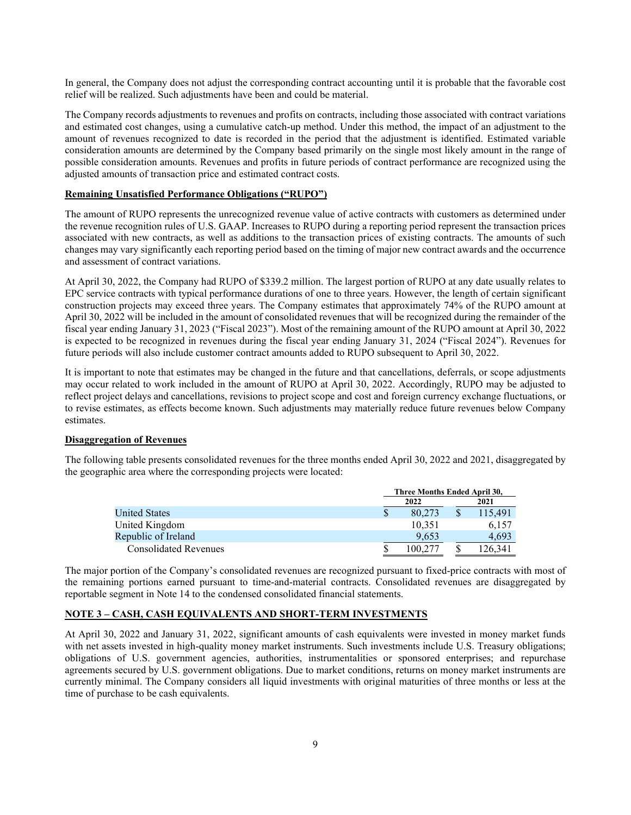In general, the Company does not adjust the corresponding contract accounting until it is probable that the favorable cost relief will be realized. Such adjustments have been and could be material.

The Company records adjustments to revenues and profits on contracts, including those associated with contract variations and estimated cost changes, using a cumulative catch-up method. Under this method, the impact of an adjustment to the amount of revenues recognized to date is recorded in the period that the adjustment is identified. Estimated variable consideration amounts are determined by the Company based primarily on the single most likely amount in the range of possible consideration amounts. Revenues and profits in future periods of contract performance are recognized using the adjusted amounts of transaction price and estimated contract costs.

#### **Remaining Unsatisfied Performance Obligations ("RUPO")**

The amount of RUPO represents the unrecognized revenue value of active contracts with customers as determined under the revenue recognition rules of U.S. GAAP. Increases to RUPO during a reporting period represent the transaction prices associated with new contracts, as well as additions to the transaction prices of existing contracts. The amounts of such changes may vary significantly each reporting period based on the timing of major new contract awards and the occurrence and assessment of contract variations.

At April 30, 2022, the Company had RUPO of \$339.2 million. The largest portion of RUPO at any date usually relates to EPC service contracts with typical performance durations of one to three years. However, the length of certain significant construction projects may exceed three years. The Company estimates that approximately 74% of the RUPO amount at April 30, 2022 will be included in the amount of consolidated revenues that will be recognized during the remainder of the fiscal year ending January 31, 2023 ("Fiscal 2023"). Most of the remaining amount of the RUPO amount at April 30, 2022 is expected to be recognized in revenues during the fiscal year ending January 31, 2024 ("Fiscal 2024"). Revenues for future periods will also include customer contract amounts added to RUPO subsequent to April 30, 2022.

It is important to note that estimates may be changed in the future and that cancellations, deferrals, or scope adjustments may occur related to work included in the amount of RUPO at April 30, 2022. Accordingly, RUPO may be adjusted to reflect project delays and cancellations, revisions to project scope and cost and foreign currency exchange fluctuations, or to revise estimates, as effects become known. Such adjustments may materially reduce future revenues below Company estimates.

#### **Disaggregation of Revenues**

The following table presents consolidated revenues for the three months ended April 30, 2022 and 2021, disaggregated by the geographic area where the corresponding projects were located:

|                              |   | Three Months Ended April 30, |  |         |  |  |  |  |
|------------------------------|---|------------------------------|--|---------|--|--|--|--|
|                              |   | 2022                         |  | 2021    |  |  |  |  |
| <b>United States</b>         | S | 80,273                       |  | 115,491 |  |  |  |  |
| United Kingdom               |   | 10.351                       |  | 6,157   |  |  |  |  |
| Republic of Ireland          |   | 9.653                        |  | 4.693   |  |  |  |  |
| <b>Consolidated Revenues</b> |   | 00.27                        |  | 26.34   |  |  |  |  |

The major portion of the Company's consolidated revenues are recognized pursuant to fixed-price contracts with most of the remaining portions earned pursuant to time-and-material contracts. Consolidated revenues are disaggregated by reportable segment in Note 14 to the condensed consolidated financial statements.

## **NOTE 3 – CASH, CASH EQUIVALENTS AND SHORT-TERM INVESTMENTS**

At April 30, 2022 and January 31, 2022, significant amounts of cash equivalents were invested in money market funds with net assets invested in high-quality money market instruments. Such investments include U.S. Treasury obligations; obligations of U.S. government agencies, authorities, instrumentalities or sponsored enterprises; and repurchase agreements secured by U.S. government obligations. Due to market conditions, returns on money market instruments are currently minimal. The Company considers all liquid investments with original maturities of three months or less at the time of purchase to be cash equivalents.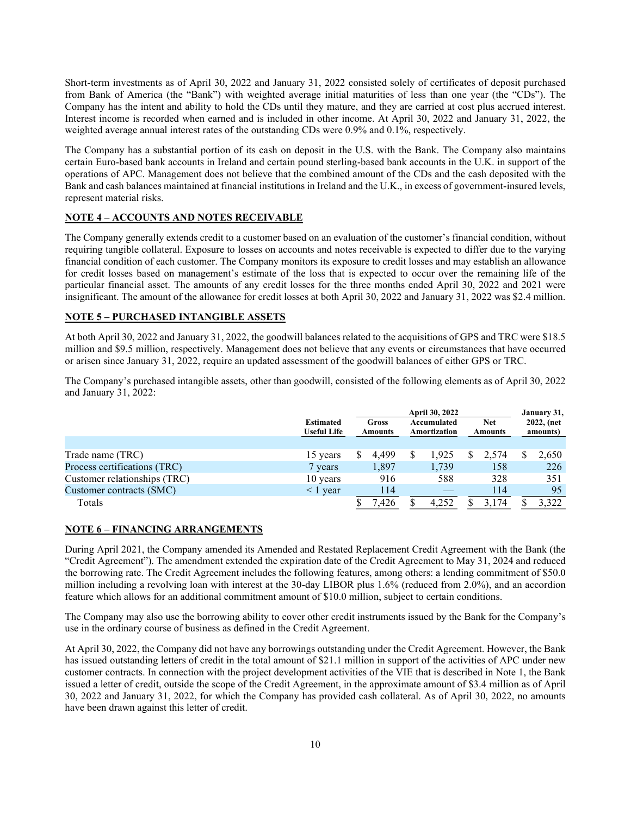Short-term investments as of April 30, 2022 and January 31, 2022 consisted solely of certificates of deposit purchased from Bank of America (the "Bank") with weighted average initial maturities of less than one year (the "CDs"). The Company has the intent and ability to hold the CDs until they mature, and they are carried at cost plus accrued interest. Interest income is recorded when earned and is included in other income. At April 30, 2022 and January 31, 2022, the weighted average annual interest rates of the outstanding CDs were 0.9% and 0.1%, respectively.

The Company has a substantial portion of its cash on deposit in the U.S. with the Bank. The Company also maintains certain Euro-based bank accounts in Ireland and certain pound sterling-based bank accounts in the U.K. in support of the operations of APC. Management does not believe that the combined amount of the CDs and the cash deposited with the Bank and cash balances maintained at financial institutions in Ireland and the U.K., in excess of government-insured levels, represent material risks.

## **NOTE 4 – ACCOUNTS AND NOTES RECEIVABLE**

The Company generally extends credit to a customer based on an evaluation of the customer's financial condition, without requiring tangible collateral. Exposure to losses on accounts and notes receivable is expected to differ due to the varying financial condition of each customer. The Company monitors its exposure to credit losses and may establish an allowance for credit losses based on management's estimate of the loss that is expected to occur over the remaining life of the particular financial asset. The amounts of any credit losses for the three months ended April 30, 2022 and 2021 were insignificant. The amount of the allowance for credit losses at both April 30, 2022 and January 31, 2022 was \$2.4 million.

## **NOTE 5 – PURCHASED INTANGIBLE ASSETS**

At both April 30, 2022 and January 31, 2022, the goodwill balances related to the acquisitions of GPS and TRC were \$18.5 million and \$9.5 million, respectively. Management does not believe that any events or circumstances that have occurred or arisen since January 31, 2022, require an updated assessment of the goodwill balances of either GPS or TRC.

The Company's purchased intangible assets, other than goodwill, consisted of the following elements as of April 30, 2022 and January 31, 2022:

|                              |                                        | <b>April 30, 2022</b>   |       |                             |       |                       |       | January 31,            |       |
|------------------------------|----------------------------------------|-------------------------|-------|-----------------------------|-------|-----------------------|-------|------------------------|-------|
|                              | <b>Estimated</b><br><b>Useful Life</b> | Gross<br><b>Amounts</b> |       | Accumulated<br>Amortization |       | <b>Net</b><br>Amounts |       | 2022, (net<br>amounts) |       |
|                              |                                        |                         |       |                             |       |                       |       |                        |       |
| Trade name (TRC)             | 15 years                               |                         | 4.499 |                             | 1.925 |                       | 2.574 |                        | 2,650 |
| Process certifications (TRC) | 7 years                                |                         | 1,897 |                             | 1,739 |                       | 158   |                        | 226   |
| Customer relationships (TRC) | 10 years                               |                         | 916   |                             | 588   |                       | 328   |                        | 351   |
| Customer contracts (SMC)     | $\leq 1$ vear                          |                         | 114   |                             |       |                       | 114   |                        | 95    |
| Totals                       |                                        |                         | .426  |                             | 4.252 |                       | 3.174 |                        | 3.322 |

## **NOTE 6 – FINANCING ARRANGEMENTS**

During April 2021, the Company amended its Amended and Restated Replacement Credit Agreement with the Bank (the "Credit Agreement"). The amendment extended the expiration date of the Credit Agreement to May 31, 2024 and reduced the borrowing rate. The Credit Agreement includes the following features, among others: a lending commitment of \$50.0 million including a revolving loan with interest at the 30-day LIBOR plus 1.6% (reduced from 2.0%), and an accordion feature which allows for an additional commitment amount of \$10.0 million, subject to certain conditions.

The Company may also use the borrowing ability to cover other credit instruments issued by the Bank for the Company's use in the ordinary course of business as defined in the Credit Agreement.

At April 30, 2022, the Company did not have any borrowings outstanding under the Credit Agreement. However, the Bank has issued outstanding letters of credit in the total amount of \$21.1 million in support of the activities of APC under new customer contracts. In connection with the project development activities of the VIE that is described in Note 1, the Bank issued a letter of credit, outside the scope of the Credit Agreement, in the approximate amount of \$3.4 million as of April 30, 2022 and January 31, 2022, for which the Company has provided cash collateral. As of April 30, 2022, no amounts have been drawn against this letter of credit.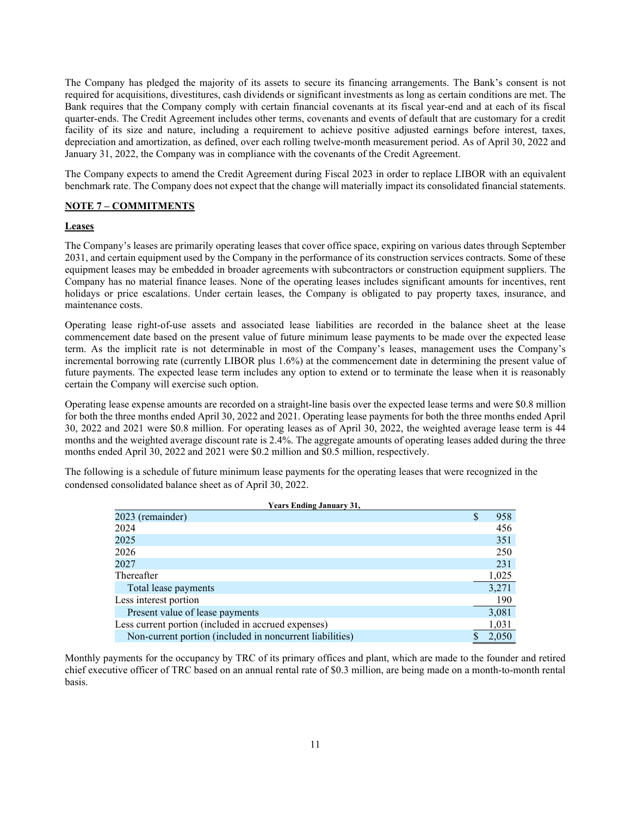The Company has pledged the majority of its assets to secure its financing arrangements. The Bank's consent is not required for acquisitions, divestitures, cash dividends or significant investments as long as certain conditions are met. The Bank requires that the Company comply with certain financial covenants at its fiscal year-end and at each of its fiscal quarter-ends. The Credit Agreement includes other terms, covenants and events of default that are customary for a credit facility of its size and nature, including a requirement to achieve positive adjusted earnings before interest, taxes, depreciation and amortization, as defined, over each rolling twelve-month measurement period. As of April 30, 2022 and January 31, 2022, the Company was in compliance with the covenants of the Credit Agreement.

The Company expects to amend the Credit Agreement during Fiscal 2023 in order to replace LIBOR with an equivalent benchmark rate. The Company does not expect that the change will materially impact its consolidated financial statements.

## **NOTE 7 – COMMITMENTS**

## **Leases**

The Company's leases are primarily operating leases that cover office space, expiring on various dates through September 2031, and certain equipment used by the Company in the performance of its construction services contracts. Some of these equipment leases may be embedded in broader agreements with subcontractors or construction equipment suppliers. The Company has no material finance leases. None of the operating leases includes significant amounts for incentives, rent holidays or price escalations. Under certain leases, the Company is obligated to pay property taxes, insurance, and maintenance costs.

Operating lease right-of-use assets and associated lease liabilities are recorded in the balance sheet at the lease commencement date based on the present value of future minimum lease payments to be made over the expected lease term. As the implicit rate is not determinable in most of the Company's leases, management uses the Company's incremental borrowing rate (currently LIBOR plus 1.6%) at the commencement date in determining the present value of future payments. The expected lease term includes any option to extend or to terminate the lease when it is reasonably certain the Company will exercise such option.

Operating lease expense amounts are recorded on a straight-line basis over the expected lease terms and were \$0.8 million for both the three months ended April 30, 2022 and 2021. Operating lease payments for both the three months ended April 30, 2022 and 2021 were \$0.8 million. For operating leases as of April 30, 2022, the weighted average lease term is 44 months and the weighted average discount rate is 2.4%. The aggregate amounts of operating leases added during the three months ended April 30, 2022 and 2021 were \$0.2 million and \$0.5 million, respectively.

The following is a schedule of future minimum lease payments for the operating leases that were recognized in the condensed consolidated balance sheet as of April 30, 2022.

| Tears Enging Sanuary 91,                                 |           |
|----------------------------------------------------------|-----------|
| 2023 (remainder)                                         | \$<br>958 |
| 2024                                                     | 456       |
| 2025                                                     | 351       |
| 2026                                                     | 250       |
| 2027                                                     | 231       |
| Thereafter                                               | 1,025     |
| Total lease payments                                     | 3,271     |
| Less interest portion                                    | 190       |
| Present value of lease payments                          | 3,081     |
| Less current portion (included in accrued expenses)      | 1,031     |
| Non-current portion (included in noncurrent liabilities) | 2.050     |

#### **Years Ending January 31,**

Monthly payments for the occupancy by TRC of its primary offices and plant, which are made to the founder and retired chief executive officer of TRC based on an annual rental rate of \$0.3 million, are being made on a month-to-month rental basis.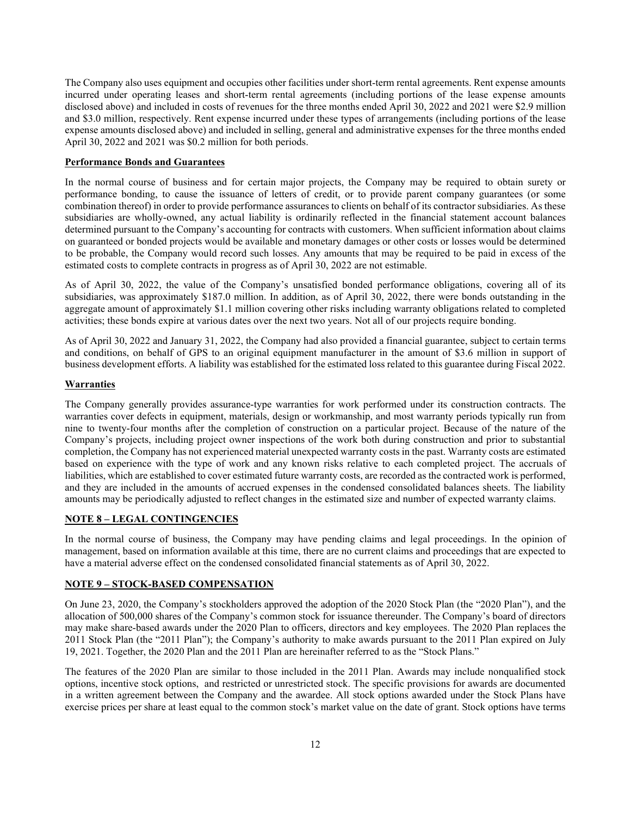The Company also uses equipment and occupies other facilities under short-term rental agreements. Rent expense amounts incurred under operating leases and short-term rental agreements (including portions of the lease expense amounts disclosed above) and included in costs of revenues for the three months ended April 30, 2022 and 2021 were \$2.9 million and \$3.0 million, respectively. Rent expense incurred under these types of arrangements (including portions of the lease expense amounts disclosed above) and included in selling, general and administrative expenses for the three months ended April 30, 2022 and 2021 was \$0.2 million for both periods.

#### **Performance Bonds and Guarantees**

In the normal course of business and for certain major projects, the Company may be required to obtain surety or performance bonding, to cause the issuance of letters of credit, or to provide parent company guarantees (or some combination thereof) in order to provide performance assurances to clients on behalf of its contractor subsidiaries. As these subsidiaries are wholly-owned, any actual liability is ordinarily reflected in the financial statement account balances determined pursuant to the Company's accounting for contracts with customers. When sufficient information about claims on guaranteed or bonded projects would be available and monetary damages or other costs or losses would be determined to be probable, the Company would record such losses. Any amounts that may be required to be paid in excess of the estimated costs to complete contracts in progress as of April 30, 2022 are not estimable.

As of April 30, 2022, the value of the Company's unsatisfied bonded performance obligations, covering all of its subsidiaries, was approximately \$187.0 million. In addition, as of April 30, 2022, there were bonds outstanding in the aggregate amount of approximately \$1.1 million covering other risks including warranty obligations related to completed activities; these bonds expire at various dates over the next two years. Not all of our projects require bonding.

As of April 30, 2022 and January 31, 2022, the Company had also provided a financial guarantee, subject to certain terms and conditions, on behalf of GPS to an original equipment manufacturer in the amount of \$3.6 million in support of business development efforts. A liability was established for the estimated loss related to this guarantee during Fiscal 2022.

## **Warranties**

The Company generally provides assurance-type warranties for work performed under its construction contracts. The warranties cover defects in equipment, materials, design or workmanship, and most warranty periods typically run from nine to twenty-four months after the completion of construction on a particular project. Because of the nature of the Company's projects, including project owner inspections of the work both during construction and prior to substantial completion, the Company has not experienced material unexpected warranty costs in the past. Warranty costs are estimated based on experience with the type of work and any known risks relative to each completed project. The accruals of liabilities, which are established to cover estimated future warranty costs, are recorded as the contracted work is performed, and they are included in the amounts of accrued expenses in the condensed consolidated balances sheets. The liability amounts may be periodically adjusted to reflect changes in the estimated size and number of expected warranty claims.

## **NOTE 8 – LEGAL CONTINGENCIES**

In the normal course of business, the Company may have pending claims and legal proceedings. In the opinion of management, based on information available at this time, there are no current claims and proceedings that are expected to have a material adverse effect on the condensed consolidated financial statements as of April 30, 2022.

#### **NOTE 9 – STOCK-BASED COMPENSATION**

On June 23, 2020, the Company's stockholders approved the adoption of the 2020 Stock Plan (the "2020 Plan"), and the allocation of 500,000 shares of the Company's common stock for issuance thereunder. The Company's board of directors may make share-based awards under the 2020 Plan to officers, directors and key employees. The 2020 Plan replaces the 2011 Stock Plan (the "2011 Plan"); the Company's authority to make awards pursuant to the 2011 Plan expired on July 19, 2021. Together, the 2020 Plan and the 2011 Plan are hereinafter referred to as the "Stock Plans."

The features of the 2020 Plan are similar to those included in the 2011 Plan. Awards may include nonqualified stock options, incentive stock options, and restricted or unrestricted stock. The specific provisions for awards are documented in a written agreement between the Company and the awardee. All stock options awarded under the Stock Plans have exercise prices per share at least equal to the common stock's market value on the date of grant. Stock options have terms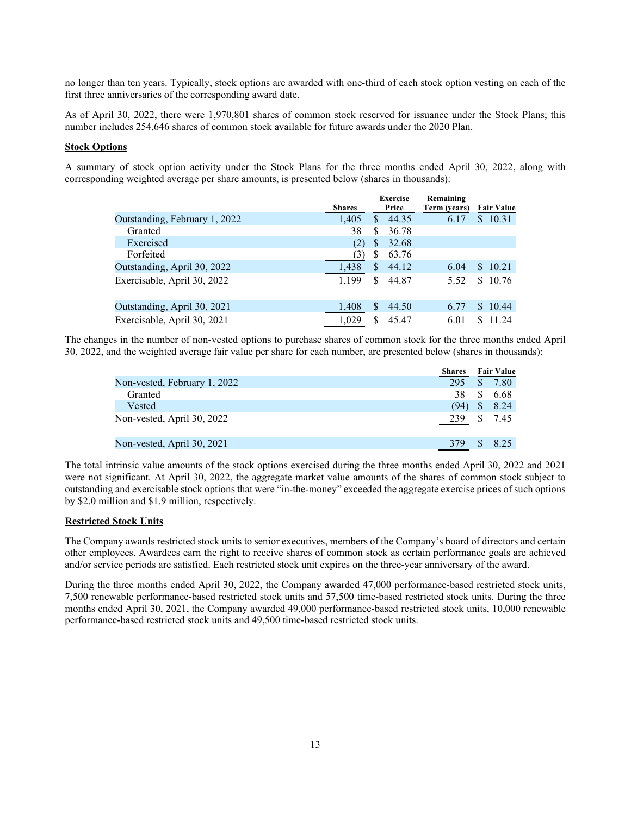no longer than ten years. Typically, stock options are awarded with one-third of each stock option vesting on each of the first three anniversaries of the corresponding award date.

As of April 30, 2022, there were 1,970,801 shares of common stock reserved for issuance under the Stock Plans; this number includes 254,646 shares of common stock available for future awards under the 2020 Plan.

#### **Stock Options**

A summary of stock option activity under the Stock Plans for the three months ended April 30, 2022, along with corresponding weighted average per share amounts, is presented below (shares in thousands):

|                               |               | <b>Exercise</b> |       | Remaining    |                   |
|-------------------------------|---------------|-----------------|-------|--------------|-------------------|
|                               | <b>Shares</b> |                 | Price | Term (years) | <b>Fair Value</b> |
| Outstanding, February 1, 2022 | 1,405         | \$              | 44.35 | 6.17         | \$10.31           |
| Granted                       | 38            | S               | 36.78 |              |                   |
| Exercised                     | (2)           | S               | 32.68 |              |                   |
| Forfeited                     | (3)           | S               | 63.76 |              |                   |
| Outstanding, April 30, 2022   | 1,438         | S               | 44.12 | 6.04         | \$ 10.21          |
| Exercisable, April 30, 2022   | 1,199         | \$.             | 44.87 | 5.52         | \$10.76           |
| Outstanding, April 30, 2021   | 1,408         | S               | 44.50 | 6.77         | \$10.44           |
| Exercisable, April 30, 2021   | 1,029         |                 | 45.47 | 6.01         | 11.24             |

The changes in the number of non-vested options to purchase shares of common stock for the three months ended April 30, 2022, and the weighted average fair value per share for each number, are presented below (shares in thousands):

|                              | Shares |              | <b>Fair Value</b> |
|------------------------------|--------|--------------|-------------------|
| Non-vested, February 1, 2022 | 295    | \$.          | 7.80              |
| Granted                      | 38     | \$.          | 6.68              |
| Vested                       | (94)   | S            | 8.24              |
| Non-vested, April 30, 2022   | 239    | <sup>S</sup> | 7.45              |
| Non-vested, April 30, 2021   | 379    | <b>S</b>     | 8.25              |
|                              |        |              |                   |

The total intrinsic value amounts of the stock options exercised during the three months ended April 30, 2022 and 2021 were not significant. At April 30, 2022, the aggregate market value amounts of the shares of common stock subject to outstanding and exercisable stock options that were "in-the-money" exceeded the aggregate exercise prices of such options by \$2.0 million and \$1.9 million, respectively.

#### **Restricted Stock Units**

The Company awards restricted stock units to senior executives, members of the Company's board of directors and certain other employees. Awardees earn the right to receive shares of common stock as certain performance goals are achieved and/or service periods are satisfied. Each restricted stock unit expires on the three-year anniversary of the award.

During the three months ended April 30, 2022, the Company awarded 47,000 performance-based restricted stock units, 7,500 renewable performance-based restricted stock units and 57,500 time-based restricted stock units. During the three months ended April 30, 2021, the Company awarded 49,000 performance-based restricted stock units, 10,000 renewable performance-based restricted stock units and 49,500 time-based restricted stock units.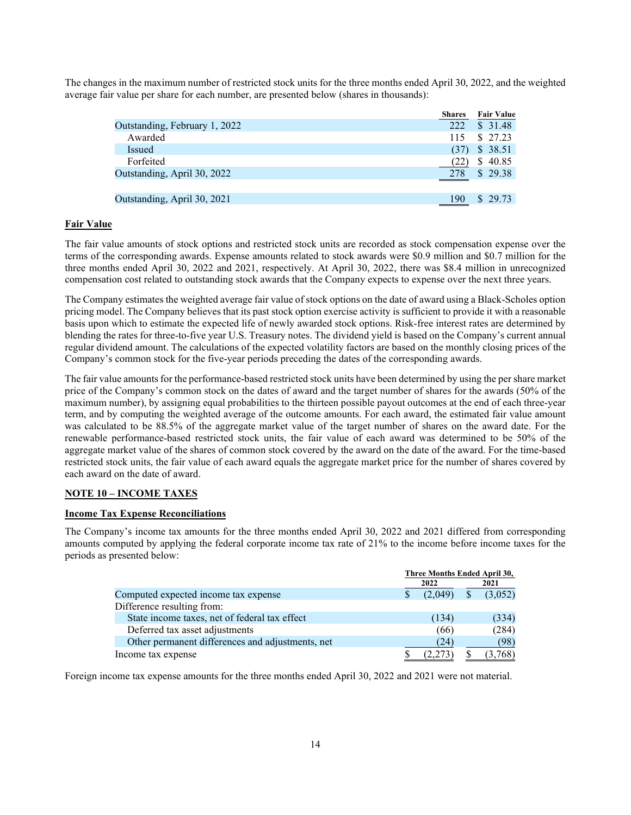The changes in the maximum number of restricted stock units for the three months ended April 30, 2022, and the weighted average fair value per share for each number, are presented below (shares in thousands):

|                               | <b>Shares</b> | <b>Fair Value</b> |
|-------------------------------|---------------|-------------------|
| Outstanding, February 1, 2022 | 222           | \$31.48           |
| Awarded                       |               | 115 \$ 27.23      |
| Issued                        | (37)          | \$38.51           |
| Forfeited                     | (22)          | \$40.85           |
| Outstanding, April 30, 2022   |               | $278$ \$ 29.38    |
|                               |               |                   |
| Outstanding, April 30, 2021   | 190           | \$29.73           |
|                               |               |                   |

## **Fair Value**

The fair value amounts of stock options and restricted stock units are recorded as stock compensation expense over the terms of the corresponding awards. Expense amounts related to stock awards were \$0.9 million and \$0.7 million for the three months ended April 30, 2022 and 2021, respectively. At April 30, 2022, there was \$8.4 million in unrecognized compensation cost related to outstanding stock awards that the Company expects to expense over the next three years.

The Company estimates the weighted average fair value of stock options on the date of award using a Black-Scholes option pricing model. The Company believes that its past stock option exercise activity is sufficient to provide it with a reasonable basis upon which to estimate the expected life of newly awarded stock options. Risk-free interest rates are determined by blending the rates for three-to-five year U.S. Treasury notes. The dividend yield is based on the Company's current annual regular dividend amount. The calculations of the expected volatility factors are based on the monthly closing prices of the Company's common stock for the five-year periods preceding the dates of the corresponding awards.

The fair value amounts for the performance-based restricted stock units have been determined by using the per share market price of the Company's common stock on the dates of award and the target number of shares for the awards (50% of the maximum number), by assigning equal probabilities to the thirteen possible payout outcomes at the end of each three-year term, and by computing the weighted average of the outcome amounts. For each award, the estimated fair value amount was calculated to be 88.5% of the aggregate market value of the target number of shares on the award date. For the renewable performance-based restricted stock units, the fair value of each award was determined to be 50% of the aggregate market value of the shares of common stock covered by the award on the date of the award. For the time-based restricted stock units, the fair value of each award equals the aggregate market price for the number of shares covered by each award on the date of award.

## **NOTE 10 – INCOME TAXES**

## **Income Tax Expense Reconciliations**

The Company's income tax amounts for the three months ended April 30, 2022 and 2021 differed from corresponding amounts computed by applying the federal corporate income tax rate of 21% to the income before income taxes for the periods as presented below:

|                                                  | Three Months Ended April 30, |         |              |         |  |
|--------------------------------------------------|------------------------------|---------|--------------|---------|--|
|                                                  |                              | 2022    |              | 2021    |  |
| Computed expected income tax expense             |                              | (2.049) | <sup>S</sup> | (3,052) |  |
| Difference resulting from:                       |                              |         |              |         |  |
| State income taxes, net of federal tax effect    |                              | (134)   |              | (334)   |  |
| Deferred tax asset adjustments                   |                              | (66)    |              | (284)   |  |
| Other permanent differences and adjustments, net |                              | (24)    |              | (98)    |  |
| Income tax expense                               |                              |         |              | (3,768) |  |

Foreign income tax expense amounts for the three months ended April 30, 2022 and 2021 were not material.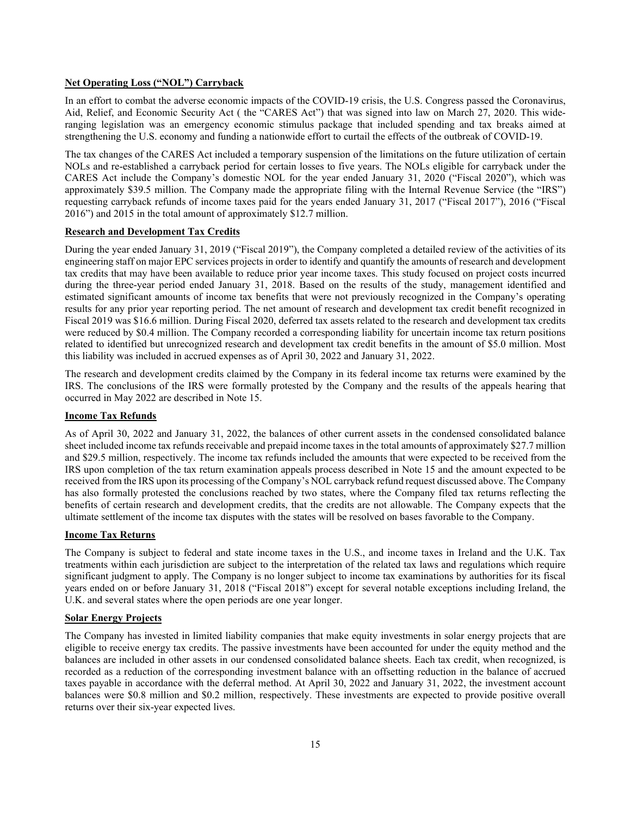#### **Net Operating Loss ("NOL") Carryback**

In an effort to combat the adverse economic impacts of the COVID-19 crisis, the U.S. Congress passed the Coronavirus, Aid, Relief, and Economic Security Act ( the "CARES Act") that was signed into law on March 27, 2020. This wideranging legislation was an emergency economic stimulus package that included spending and tax breaks aimed at strengthening the U.S. economy and funding a nationwide effort to curtail the effects of the outbreak of COVID-19.

The tax changes of the CARES Act included a temporary suspension of the limitations on the future utilization of certain NOLs and re-established a carryback period for certain losses to five years. The NOLs eligible for carryback under the CARES Act include the Company's domestic NOL for the year ended January 31, 2020 ("Fiscal 2020"), which was approximately \$39.5 million. The Company made the appropriate filing with the Internal Revenue Service (the "IRS") requesting carryback refunds of income taxes paid for the years ended January 31, 2017 ("Fiscal 2017"), 2016 ("Fiscal 2016") and 2015 in the total amount of approximately \$12.7 million.

## **Research and Development Tax Credits**

During the year ended January 31, 2019 ("Fiscal 2019"), the Company completed a detailed review of the activities of its engineering staff on major EPC services projects in order to identify and quantify the amounts of research and development tax credits that may have been available to reduce prior year income taxes. This study focused on project costs incurred during the three-year period ended January 31, 2018. Based on the results of the study, management identified and estimated significant amounts of income tax benefits that were not previously recognized in the Company's operating results for any prior year reporting period. The net amount of research and development tax credit benefit recognized in Fiscal 2019 was \$16.6 million. During Fiscal 2020, deferred tax assets related to the research and development tax credits were reduced by \$0.4 million. The Company recorded a corresponding liability for uncertain income tax return positions related to identified but unrecognized research and development tax credit benefits in the amount of \$5.0 million. Most this liability was included in accrued expenses as of April 30, 2022 and January 31, 2022.

The research and development credits claimed by the Company in its federal income tax returns were examined by the IRS. The conclusions of the IRS were formally protested by the Company and the results of the appeals hearing that occurred in May 2022 are described in Note 15.

#### **Income Tax Refunds**

As of April 30, 2022 and January 31, 2022, the balances of other current assets in the condensed consolidated balance sheet included income tax refunds receivable and prepaid income taxes in the total amounts of approximately \$27.7 million and \$29.5 million, respectively. The income tax refunds included the amounts that were expected to be received from the IRS upon completion of the tax return examination appeals process described in Note 15 and the amount expected to be received from the IRS upon its processing of the Company's NOL carryback refund request discussed above. The Company has also formally protested the conclusions reached by two states, where the Company filed tax returns reflecting the benefits of certain research and development credits, that the credits are not allowable. The Company expects that the ultimate settlement of the income tax disputes with the states will be resolved on bases favorable to the Company.

## **Income Tax Returns**

The Company is subject to federal and state income taxes in the U.S., and income taxes in Ireland and the U.K. Tax treatments within each jurisdiction are subject to the interpretation of the related tax laws and regulations which require significant judgment to apply. The Company is no longer subject to income tax examinations by authorities for its fiscal years ended on or before January 31, 2018 ("Fiscal 2018") except for several notable exceptions including Ireland, the U.K. and several states where the open periods are one year longer.

#### **Solar Energy Projects**

The Company has invested in limited liability companies that make equity investments in solar energy projects that are eligible to receive energy tax credits. The passive investments have been accounted for under the equity method and the balances are included in other assets in our condensed consolidated balance sheets. Each tax credit, when recognized, is recorded as a reduction of the corresponding investment balance with an offsetting reduction in the balance of accrued taxes payable in accordance with the deferral method. At April 30, 2022 and January 31, 2022, the investment account balances were \$0.8 million and \$0.2 million, respectively. These investments are expected to provide positive overall returns over their six-year expected lives.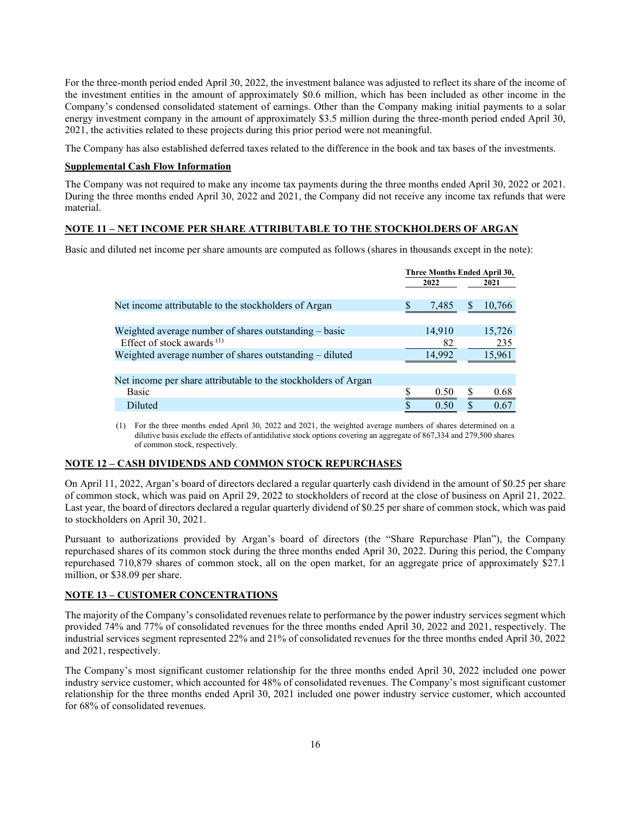For the three-month period ended April 30, 2022, the investment balance was adjusted to reflect its share of the income of the investment entities in the amount of approximately \$0.6 million, which has been included as other income in the Company's condensed consolidated statement of earnings. Other than the Company making initial payments to a solar energy investment company in the amount of approximately \$3.5 million during the three-month period ended April 30, 2021, the activities related to these projects during this prior period were not meaningful.

The Company has also established deferred taxes related to the difference in the book and tax bases of the investments.

## **Supplemental Cash Flow Information**

The Company was not required to make any income tax payments during the three months ended April 30, 2022 or 2021. During the three months ended April 30, 2022 and 2021, the Company did not receive any income tax refunds that were material.

## **NOTE 11 – NET INCOME PER SHARE ATTRIBUTABLE TO THE STOCKHOLDERS OF ARGAN**

Basic and diluted net income per share amounts are computed as follows (shares in thousands except in the note):

|                                                                |   | Three Months Ended April 30, |            |
|----------------------------------------------------------------|---|------------------------------|------------|
|                                                                |   | 2022                         | 2021       |
|                                                                |   |                              |            |
| Net income attributable to the stockholders of Argan           |   | 7,485                        | 10,766     |
|                                                                |   |                              |            |
| Weighted average number of shares outstanding – basic          |   | 14,910                       | 15,726     |
| Effect of stock awards <sup>(1)</sup>                          |   | 82                           | 235        |
| Weighted average number of shares outstanding – diluted        |   | 14,992                       | 15,961     |
|                                                                |   |                              |            |
| Net income per share attributable to the stockholders of Argan |   |                              |            |
| Basic                                                          | S | 0.50                         | 0.68       |
| Diluted                                                        | S | 0.50                         | \$<br>0.67 |

(1) For the three months ended April 30, 2022 and 2021, the weighted average numbers of shares determined on a dilutive basis exclude the effects of antidilutive stock options covering an aggregate of 867,334 and 279,500 shares of common stock, respectively.

## **NOTE 12 – CASH DIVIDENDS AND COMMON STOCK REPURCHASES**

On April 11, 2022, Argan's board of directors declared a regular quarterly cash dividend in the amount of \$0.25 per share of common stock, which was paid on April 29, 2022 to stockholders of record at the close of business on April 21, 2022. Last year, the board of directors declared a regular quarterly dividend of \$0.25 per share of common stock, which was paid to stockholders on April 30, 2021.

Pursuant to authorizations provided by Argan's board of directors (the "Share Repurchase Plan"), the Company repurchased shares of its common stock during the three months ended April 30, 2022. During this period, the Company repurchased 710,879 shares of common stock, all on the open market, for an aggregate price of approximately \$27.1 million, or \$38.09 per share.

## **NOTE 13 – CUSTOMER CONCENTRATIONS**

The majority of the Company's consolidated revenues relate to performance by the power industry services segment which provided 74% and 77% of consolidated revenues for the three months ended April 30, 2022 and 2021, respectively. The industrial services segment represented 22% and 21% of consolidated revenues for the three months ended April 30, 2022 and 2021, respectively.

The Company's most significant customer relationship for the three months ended April 30, 2022 included one power industry service customer, which accounted for 48% of consolidated revenues. The Company's most significant customer relationship for the three months ended April 30, 2021 included one power industry service customer, which accounted for 68% of consolidated revenues.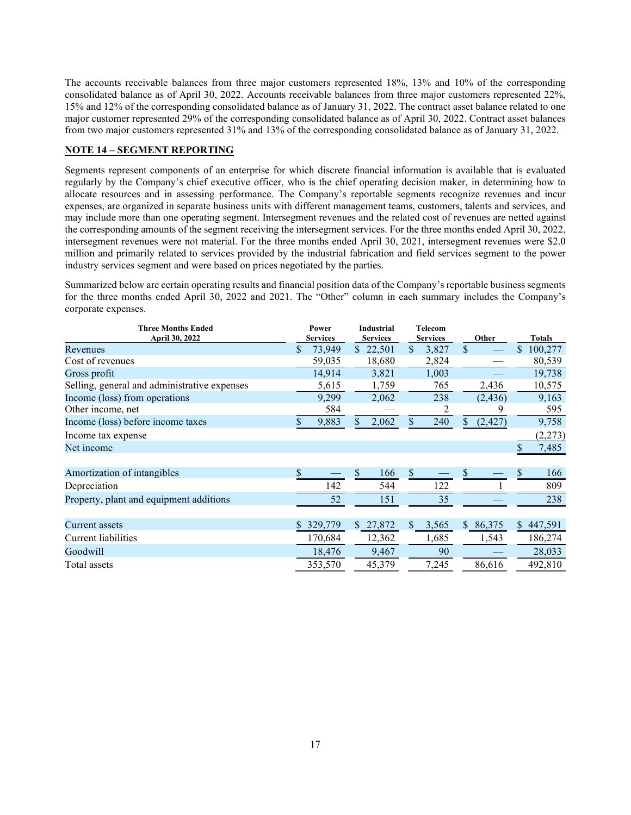The accounts receivable balances from three major customers represented 18%, 13% and 10% of the corresponding consolidated balance as of April 30, 2022. Accounts receivable balances from three major customers represented 22%, 15% and 12% of the corresponding consolidated balance as of January 31, 2022. The contract asset balance related to one major customer represented 29% of the corresponding consolidated balance as of April 30, 2022. Contract asset balances from two major customers represented 31% and 13% of the corresponding consolidated balance as of January 31, 2022.

## **NOTE 14 – SEGMENT REPORTING**

Segments represent components of an enterprise for which discrete financial information is available that is evaluated regularly by the Company's chief executive officer, who is the chief operating decision maker, in determining how to allocate resources and in assessing performance. The Company's reportable segments recognize revenues and incur expenses, are organized in separate business units with different management teams, customers, talents and services, and may include more than one operating segment. Intersegment revenues and the related cost of revenues are netted against the corresponding amounts of the segment receiving the intersegment services. For the three months ended April 30, 2022, intersegment revenues were not material. For the three months ended April 30, 2021, intersegment revenues were \$2.0 million and primarily related to services provided by the industrial fabrication and field services segment to the power industry services segment and were based on prices negotiated by the parties.

Summarized below are certain operating results and financial position data of the Company's reportable business segments for the three months ended April 30, 2022 and 2021. The "Other" column in each summary includes the Company's corporate expenses.

| <b>Three Months Ended</b><br>April 30, 2022  | Power<br><b>Services</b> |               | <b>Industrial</b><br><b>Services</b> | Telecom<br><b>Services</b> |                | Other    | <b>Totals</b> |
|----------------------------------------------|--------------------------|---------------|--------------------------------------|----------------------------|----------------|----------|---------------|
| Revenues                                     | \$<br>73,949             | $\mathcal{S}$ | 22,501                               | \$<br>3,827                | $\mathcal{S}$  |          | \$<br>100,277 |
| Cost of revenues                             | 59,035                   |               | 18,680                               | 2,824                      |                |          | 80,539        |
| Gross profit                                 | 14,914                   |               | 3,821                                | 1,003                      |                |          | 19,738        |
| Selling, general and administrative expenses | 5,615                    |               | 1,759                                | 765                        |                | 2,436    | 10,575        |
| Income (loss) from operations                | 9,299                    |               | 2,062                                | 238                        |                | (2, 436) | 9,163         |
| Other income, net                            | 584                      |               |                                      | 2                          |                | 9        | 595           |
| Income (loss) before income taxes            | 9,883                    | \$            | 2,062                                | \$<br>240                  | S.             | (2, 427) | 9,758         |
| Income tax expense                           |                          |               |                                      |                            |                |          | (2,273)       |
| Net income                                   |                          |               |                                      |                            |                |          | 7,485         |
|                                              |                          |               |                                      |                            |                |          |               |
| Amortization of intangibles                  |                          |               | 166                                  |                            |                |          | 166           |
| Depreciation                                 | 142                      |               | 544                                  | 122                        |                |          | 809           |
| Property, plant and equipment additions      | 52                       |               | 151                                  | 35                         |                |          | 238           |
|                                              |                          |               |                                      |                            |                |          |               |
| Current assets                               | 329,779                  | $\mathbb{S}$  | 27,872                               | \$<br>3,565                | $\mathbb{S}^-$ | 86,375   | \$<br>447,591 |
| Current liabilities                          | 170,684                  |               | 12,362                               | 1,685                      |                | 1,543    | 186,274       |
| Goodwill                                     | 18,476                   |               | 9,467                                | 90                         |                |          | 28,033        |
| Total assets                                 | 353,570                  |               | 45,379                               | 7,245                      |                | 86,616   | 492,810       |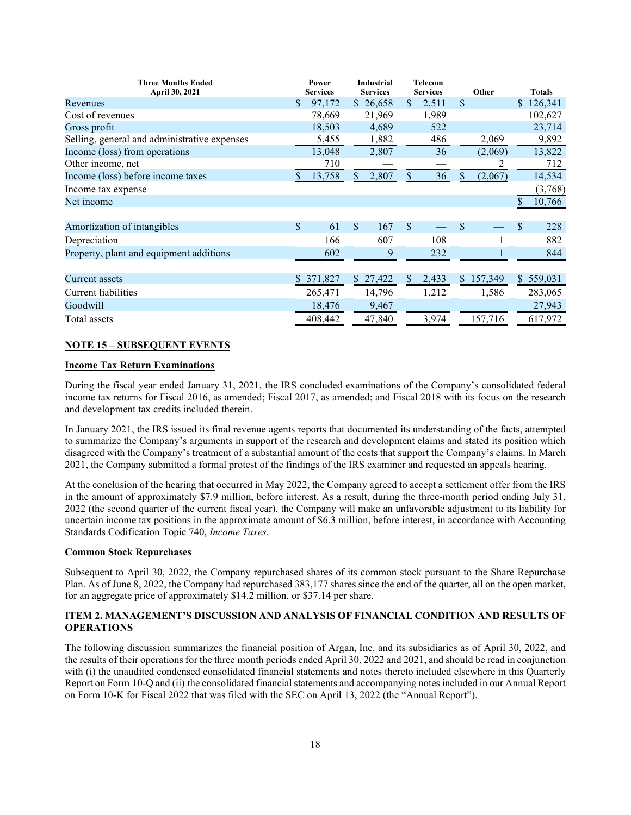| <b>Three Months Ended</b>                    |               | Power           | <b>Industrial</b> |               | <b>Telecom</b>  |    |         |     |               |
|----------------------------------------------|---------------|-----------------|-------------------|---------------|-----------------|----|---------|-----|---------------|
| April 30, 2021                               |               | <b>Services</b> | <b>Services</b>   |               | <b>Services</b> |    | Other   |     | <b>Totals</b> |
| Revenues                                     | S             | 97,172          | \$26,658          | $\mathcal{S}$ | 2,511           | \$ |         |     | 126,341       |
| Cost of revenues                             |               | 78,669          | 21,969            |               | 1,989           |    |         |     | 102,627       |
| Gross profit                                 |               | 18,503          | 4,689             |               | 522             |    |         |     | 23,714        |
| Selling, general and administrative expenses |               | 5,455           | 1,882             |               | 486             |    | 2,069   |     | 9,892         |
| Income (loss) from operations                |               | 13,048          | 2,807             |               | 36              |    | (2,069) |     | 13,822        |
| Other income, net                            |               | 710             |                   |               |                 |    |         |     | 712           |
| Income (loss) before income taxes            |               | 13,758          | \$<br>2,807       |               | 36              |    | (2,067) |     | 14,534        |
| Income tax expense                           |               |                 |                   |               |                 |    |         |     | (3,768)       |
| Net income                                   |               |                 |                   |               |                 |    |         | \$  | 10,766        |
|                                              |               |                 |                   |               |                 |    |         |     |               |
| Amortization of intangibles                  |               | 61              | \$<br>167         | S             |                 | S  |         |     | 228           |
| Depreciation                                 |               | 166             | 607               |               | 108             |    |         |     | 882           |
| Property, plant and equipment additions      |               | 602             | 9                 |               | 232             |    |         |     | 844           |
|                                              |               |                 |                   |               |                 |    |         |     |               |
| Current assets                               | <sup>\$</sup> | 371,827         | \$<br>27,422      | <sup>\$</sup> | 2,433           | S. | 157,349 | \$. | 559,031       |
| Current liabilities                          |               | 265,471         | 14,796            |               | 1,212           |    | 1,586   |     | 283,065       |
| Goodwill                                     |               | 18,476          | 9,467             |               |                 |    |         |     | 27,943        |
| Total assets                                 |               | 408,442         | 47,840            |               | 3,974           |    | 157,716 |     | 617,972       |

## **NOTE 15 – SUBSEQUENT EVENTS**

#### **Income Tax Return Examinations**

During the fiscal year ended January 31, 2021, the IRS concluded examinations of the Company's consolidated federal income tax returns for Fiscal 2016, as amended; Fiscal 2017, as amended; and Fiscal 2018 with its focus on the research and development tax credits included therein.

In January 2021, the IRS issued its final revenue agents reports that documented its understanding of the facts, attempted to summarize the Company's arguments in support of the research and development claims and stated its position which disagreed with the Company's treatment of a substantial amount of the costs that support the Company's claims. In March 2021, the Company submitted a formal protest of the findings of the IRS examiner and requested an appeals hearing.

At the conclusion of the hearing that occurred in May 2022, the Company agreed to accept a settlement offer from the IRS in the amount of approximately \$7.9 million, before interest. As a result, during the three-month period ending July 31, 2022 (the second quarter of the current fiscal year), the Company will make an unfavorable adjustment to its liability for uncertain income tax positions in the approximate amount of \$6.3 million, before interest, in accordance with Accounting Standards Codification Topic 740, *Income Taxes*.

#### **Common Stock Repurchases**

Subsequent to April 30, 2022, the Company repurchased shares of its common stock pursuant to the Share Repurchase Plan. As of June 8, 2022, the Company had repurchased 383,177 shares since the end of the quarter, all on the open market, for an aggregate price of approximately \$14.2 million, or \$37.14 per share.

## **ITEM 2. MANAGEMENT'S DISCUSSION AND ANALYSIS OF FINANCIAL CONDITION AND RESULTS OF OPERATIONS**

The following discussion summarizes the financial position of Argan, Inc. and its subsidiaries as of April 30, 2022, and the results of their operations for the three month periods ended April 30, 2022 and 2021, and should be read in conjunction with (i) the unaudited condensed consolidated financial statements and notes thereto included elsewhere in this Quarterly Report on Form 10-Q and (ii) the consolidated financial statements and accompanying notes included in our Annual Report on Form 10-K for Fiscal 2022 that was filed with the SEC on April 13, 2022 (the "Annual Report").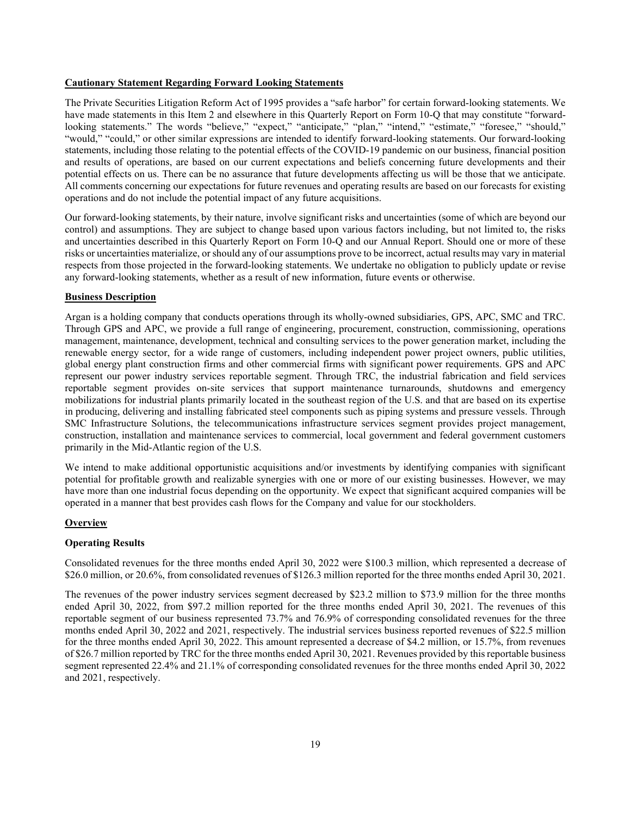#### **Cautionary Statement Regarding Forward Looking Statements**

The Private Securities Litigation Reform Act of 1995 provides a "safe harbor" for certain forward-looking statements. We have made statements in this Item 2 and elsewhere in this Quarterly Report on Form 10-Q that may constitute "forwardlooking statements." The words "believe," "expect," "anticipate," "plan," "intend," "estimate," "foresee," "should," "would," "could," or other similar expressions are intended to identify forward-looking statements. Our forward-looking statements, including those relating to the potential effects of the COVID-19 pandemic on our business, financial position and results of operations, are based on our current expectations and beliefs concerning future developments and their potential effects on us. There can be no assurance that future developments affecting us will be those that we anticipate. All comments concerning our expectations for future revenues and operating results are based on our forecasts for existing operations and do not include the potential impact of any future acquisitions.

Our forward-looking statements, by their nature, involve significant risks and uncertainties (some of which are beyond our control) and assumptions. They are subject to change based upon various factors including, but not limited to, the risks and uncertainties described in this Quarterly Report on Form 10-Q and our Annual Report. Should one or more of these risks or uncertainties materialize, or should any of our assumptions prove to be incorrect, actual results may vary in material respects from those projected in the forward-looking statements. We undertake no obligation to publicly update or revise any forward-looking statements, whether as a result of new information, future events or otherwise.

#### **Business Description**

Argan is a holding company that conducts operations through its wholly-owned subsidiaries, GPS, APC, SMC and TRC. Through GPS and APC, we provide a full range of engineering, procurement, construction, commissioning, operations management, maintenance, development, technical and consulting services to the power generation market, including the renewable energy sector, for a wide range of customers, including independent power project owners, public utilities, global energy plant construction firms and other commercial firms with significant power requirements. GPS and APC represent our power industry services reportable segment. Through TRC, the industrial fabrication and field services reportable segment provides on-site services that support maintenance turnarounds, shutdowns and emergency mobilizations for industrial plants primarily located in the southeast region of the U.S. and that are based on its expertise in producing, delivering and installing fabricated steel components such as piping systems and pressure vessels. Through SMC Infrastructure Solutions, the telecommunications infrastructure services segment provides project management, construction, installation and maintenance services to commercial, local government and federal government customers primarily in the Mid-Atlantic region of the U.S.

We intend to make additional opportunistic acquisitions and/or investments by identifying companies with significant potential for profitable growth and realizable synergies with one or more of our existing businesses. However, we may have more than one industrial focus depending on the opportunity. We expect that significant acquired companies will be operated in a manner that best provides cash flows for the Company and value for our stockholders.

#### **Overview**

#### **Operating Results**

Consolidated revenues for the three months ended April 30, 2022 were \$100.3 million, which represented a decrease of \$26.0 million, or 20.6%, from consolidated revenues of \$126.3 million reported for the three months ended April 30, 2021.

The revenues of the power industry services segment decreased by \$23.2 million to \$73.9 million for the three months ended April 30, 2022, from \$97.2 million reported for the three months ended April 30, 2021. The revenues of this reportable segment of our business represented 73.7% and 76.9% of corresponding consolidated revenues for the three months ended April 30, 2022 and 2021, respectively. The industrial services business reported revenues of \$22.5 million for the three months ended April 30, 2022. This amount represented a decrease of \$4.2 million, or 15.7%, from revenues of \$26.7 million reported by TRC for the three months ended April 30, 2021. Revenues provided by this reportable business segment represented 22.4% and 21.1% of corresponding consolidated revenues for the three months ended April 30, 2022 and 2021, respectively.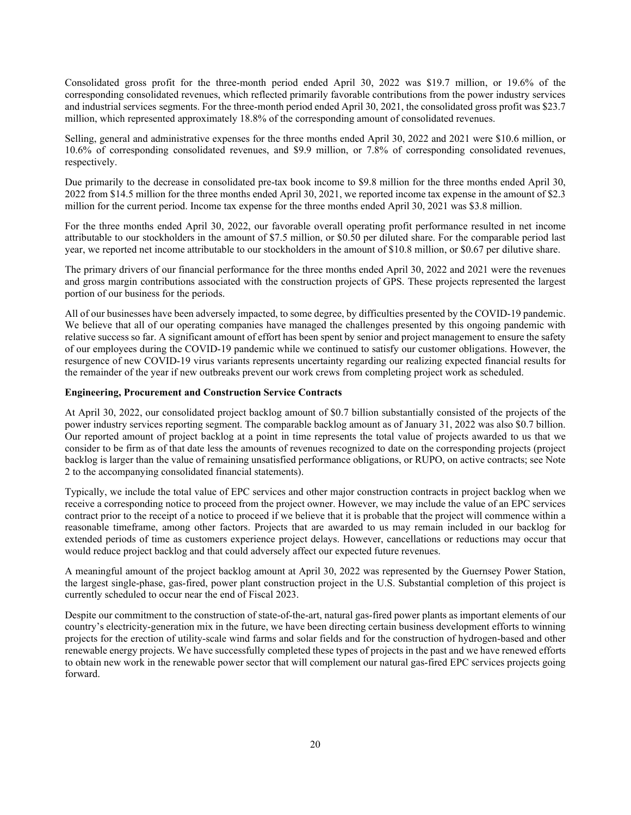Consolidated gross profit for the three-month period ended April 30, 2022 was \$19.7 million, or 19.6% of the corresponding consolidated revenues, which reflected primarily favorable contributions from the power industry services and industrial services segments. For the three-month period ended April 30, 2021, the consolidated gross profit was \$23.7 million, which represented approximately 18.8% of the corresponding amount of consolidated revenues.

Selling, general and administrative expenses for the three months ended April 30, 2022 and 2021 were \$10.6 million, or 10.6% of corresponding consolidated revenues, and \$9.9 million, or 7.8% of corresponding consolidated revenues, respectively.

Due primarily to the decrease in consolidated pre-tax book income to \$9.8 million for the three months ended April 30, 2022 from \$14.5 million for the three months ended April 30, 2021, we reported income tax expense in the amount of \$2.3 million for the current period. Income tax expense for the three months ended April 30, 2021 was \$3.8 million.

For the three months ended April 30, 2022, our favorable overall operating profit performance resulted in net income attributable to our stockholders in the amount of \$7.5 million, or \$0.50 per diluted share. For the comparable period last year, we reported net income attributable to our stockholders in the amount of \$10.8 million, or \$0.67 per dilutive share.

The primary drivers of our financial performance for the three months ended April 30, 2022 and 2021 were the revenues and gross margin contributions associated with the construction projects of GPS. These projects represented the largest portion of our business for the periods.

All of our businesses have been adversely impacted, to some degree, by difficulties presented by the COVID-19 pandemic. We believe that all of our operating companies have managed the challenges presented by this ongoing pandemic with relative success so far. A significant amount of effort has been spent by senior and project management to ensure the safety of our employees during the COVID-19 pandemic while we continued to satisfy our customer obligations. However, the resurgence of new COVID-19 virus variants represents uncertainty regarding our realizing expected financial results for the remainder of the year if new outbreaks prevent our work crews from completing project work as scheduled.

#### **Engineering, Procurement and Construction Service Contracts**

At April 30, 2022, our consolidated project backlog amount of \$0.7 billion substantially consisted of the projects of the power industry services reporting segment. The comparable backlog amount as of January 31, 2022 was also \$0.7 billion. Our reported amount of project backlog at a point in time represents the total value of projects awarded to us that we consider to be firm as of that date less the amounts of revenues recognized to date on the corresponding projects (project backlog is larger than the value of remaining unsatisfied performance obligations, or RUPO, on active contracts; see Note 2 to the accompanying consolidated financial statements).

Typically, we include the total value of EPC services and other major construction contracts in project backlog when we receive a corresponding notice to proceed from the project owner. However, we may include the value of an EPC services contract prior to the receipt of a notice to proceed if we believe that it is probable that the project will commence within a reasonable timeframe, among other factors. Projects that are awarded to us may remain included in our backlog for extended periods of time as customers experience project delays. However, cancellations or reductions may occur that would reduce project backlog and that could adversely affect our expected future revenues.

A meaningful amount of the project backlog amount at April 30, 2022 was represented by the Guernsey Power Station, the largest single-phase, gas-fired, power plant construction project in the U.S. Substantial completion of this project is currently scheduled to occur near the end of Fiscal 2023.

Despite our commitment to the construction of state-of-the-art, natural gas-fired power plants as important elements of our country's electricity-generation mix in the future, we have been directing certain business development efforts to winning projects for the erection of utility-scale wind farms and solar fields and for the construction of hydrogen-based and other renewable energy projects. We have successfully completed these types of projects in the past and we have renewed efforts to obtain new work in the renewable power sector that will complement our natural gas-fired EPC services projects going forward.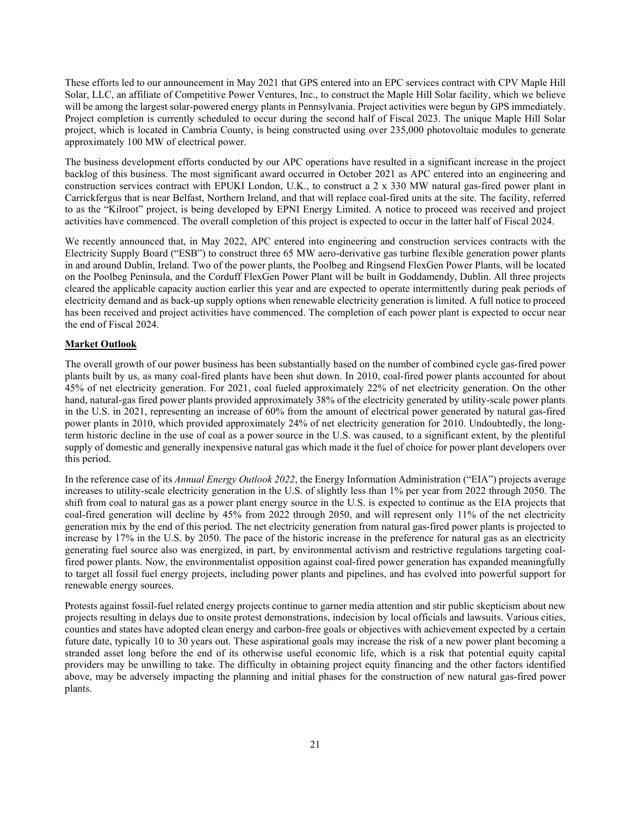These efforts led to our announcement in May 2021 that GPS entered into an EPC services contract with CPV Maple Hill Solar, LLC, an affiliate of Competitive Power Ventures, Inc., to construct the Maple Hill Solar facility, which we believe will be among the largest solar-powered energy plants in Pennsylvania. Project activities were begun by GPS immediately. Project completion is currently scheduled to occur during the second half of Fiscal 2023. The unique Maple Hill Solar project, which is located in Cambria County, is being constructed using over 235,000 photovoltaic modules to generate approximately 100 MW of electrical power.

The business development efforts conducted by our APC operations have resulted in a significant increase in the project backlog of this business. The most significant award occurred in October 2021 as APC entered into an engineering and construction services contract with EPUKI London, U.K., to construct a 2 x 330 MW natural gas-fired power plant in Carrickfergus that is near Belfast, Northern Ireland, and that will replace coal-fired units at the site. The facility, referred to as the "Kilroot" project, is being developed by EPNI Energy Limited. A notice to proceed was received and project activities have commenced. The overall completion of this project is expected to occur in the latter half of Fiscal 2024.

We recently announced that, in May 2022, APC entered into engineering and construction services contracts with the Electricity Supply Board ("ESB") to construct three 65 MW aero-derivative gas turbine flexible generation power plants in and around Dublin, Ireland. Two of the power plants, the Poolbeg and Ringsend FlexGen Power Plants, will be located on the Poolbeg Peninsula, and the Corduff FlexGen Power Plant will be built in Goddamendy, Dublin. All three projects cleared the applicable capacity auction earlier this year and are expected to operate intermittently during peak periods of electricity demand and as back-up supply options when renewable electricity generation is limited. A full notice to proceed has been received and project activities have commenced. The completion of each power plant is expected to occur near the end of Fiscal 2024.

## **Market Outlook**

The overall growth of our power business has been substantially based on the number of combined cycle gas-fired power plants built by us, as many coal-fired plants have been shut down. In 2010, coal-fired power plants accounted for about 45% of net electricity generation. For 2021, coal fueled approximately 22% of net electricity generation. On the other hand, natural-gas fired power plants provided approximately 38% of the electricity generated by utility-scale power plants in the U.S. in 2021, representing an increase of 60% from the amount of electrical power generated by natural gas-fired power plants in 2010, which provided approximately 24% of net electricity generation for 2010. Undoubtedly, the longterm historic decline in the use of coal as a power source in the U.S. was caused, to a significant extent, by the plentiful supply of domestic and generally inexpensive natural gas which made it the fuel of choice for power plant developers over this period.

In the reference case of its *Annual Energy Outlook 2022*, the Energy Information Administration ("EIA") projects average increases to utility-scale electricity generation in the U.S. of slightly less than 1% per year from 2022 through 2050. The shift from coal to natural gas as a power plant energy source in the U.S. is expected to continue as the EIA projects that coal-fired generation will decline by 45% from 2022 through 2050, and will represent only 11% of the net electricity generation mix by the end of this period. The net electricity generation from natural gas-fired power plants is projected to increase by 17% in the U.S. by 2050. The pace of the historic increase in the preference for natural gas as an electricity generating fuel source also was energized, in part, by environmental activism and restrictive regulations targeting coalfired power plants. Now, the environmentalist opposition against coal-fired power generation has expanded meaningfully to target all fossil fuel energy projects, including power plants and pipelines, and has evolved into powerful support for renewable energy sources.

Protests against fossil-fuel related energy projects continue to garner media attention and stir public skepticism about new projects resulting in delays due to onsite protest demonstrations, indecision by local officials and lawsuits. Various cities, counties and states have adopted clean energy and carbon-free goals or objectives with achievement expected by a certain future date, typically 10 to 30 years out. These aspirational goals may increase the risk of a new power plant becoming a stranded asset long before the end of its otherwise useful economic life, which is a risk that potential equity capital providers may be unwilling to take. The difficulty in obtaining project equity financing and the other factors identified above, may be adversely impacting the planning and initial phases for the construction of new natural gas-fired power plants.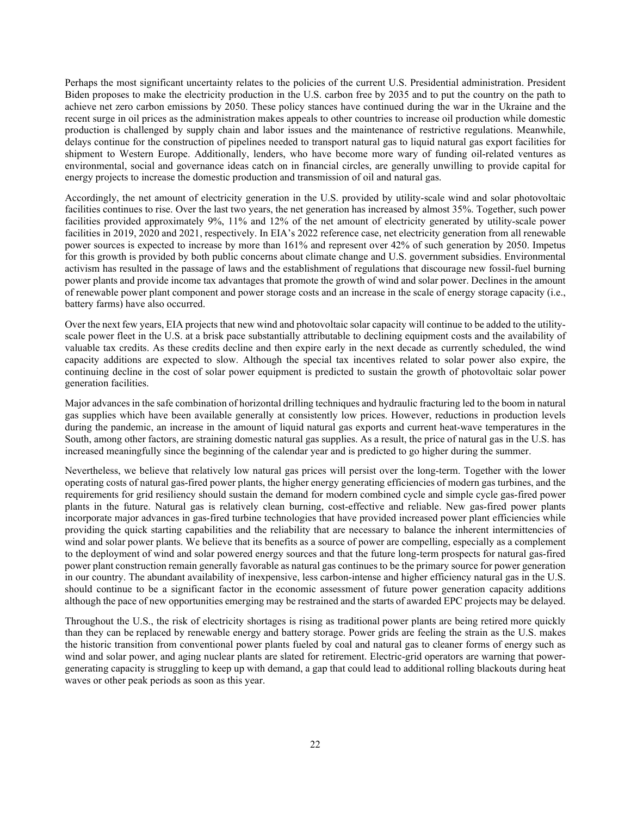Perhaps the most significant uncertainty relates to the policies of the current U.S. Presidential administration. President Biden proposes to make the electricity production in the U.S. carbon free by 2035 and to put the country on the path to achieve net zero carbon emissions by 2050. These policy stances have continued during the war in the Ukraine and the recent surge in oil prices as the administration makes appeals to other countries to increase oil production while domestic production is challenged by supply chain and labor issues and the maintenance of restrictive regulations. Meanwhile, delays continue for the construction of pipelines needed to transport natural gas to liquid natural gas export facilities for shipment to Western Europe. Additionally, lenders, who have become more wary of funding oil-related ventures as environmental, social and governance ideas catch on in financial circles, are generally unwilling to provide capital for energy projects to increase the domestic production and transmission of oil and natural gas.

Accordingly, the net amount of electricity generation in the U.S. provided by utility-scale wind and solar photovoltaic facilities continues to rise. Over the last two years, the net generation has increased by almost 35%. Together, such power facilities provided approximately 9%, 11% and 12% of the net amount of electricity generated by utility-scale power facilities in 2019, 2020 and 2021, respectively. In EIA's 2022 reference case, net electricity generation from all renewable power sources is expected to increase by more than 161% and represent over 42% of such generation by 2050. Impetus for this growth is provided by both public concerns about climate change and U.S. government subsidies. Environmental activism has resulted in the passage of laws and the establishment of regulations that discourage new fossil-fuel burning power plants and provide income tax advantages that promote the growth of wind and solar power. Declines in the amount of renewable power plant component and power storage costs and an increase in the scale of energy storage capacity (i.e., battery farms) have also occurred.

Over the next few years, EIA projects that new wind and photovoltaic solar capacity will continue to be added to the utilityscale power fleet in the U.S. at a brisk pace substantially attributable to declining equipment costs and the availability of valuable tax credits. As these credits decline and then expire early in the next decade as currently scheduled, the wind capacity additions are expected to slow. Although the special tax incentives related to solar power also expire, the continuing decline in the cost of solar power equipment is predicted to sustain the growth of photovoltaic solar power generation facilities.

Major advances in the safe combination of horizontal drilling techniques and hydraulic fracturing led to the boom in natural gas supplies which have been available generally at consistently low prices. However, reductions in production levels during the pandemic, an increase in the amount of liquid natural gas exports and current heat-wave temperatures in the South, among other factors, are straining domestic natural gas supplies. As a result, the price of natural gas in the U.S. has increased meaningfully since the beginning of the calendar year and is predicted to go higher during the summer.

Nevertheless, we believe that relatively low natural gas prices will persist over the long-term. Together with the lower operating costs of natural gas-fired power plants, the higher energy generating efficiencies of modern gas turbines, and the requirements for grid resiliency should sustain the demand for modern combined cycle and simple cycle gas-fired power plants in the future. Natural gas is relatively clean burning, cost-effective and reliable. New gas-fired power plants incorporate major advances in gas-fired turbine technologies that have provided increased power plant efficiencies while providing the quick starting capabilities and the reliability that are necessary to balance the inherent intermittencies of wind and solar power plants. We believe that its benefits as a source of power are compelling, especially as a complement to the deployment of wind and solar powered energy sources and that the future long-term prospects for natural gas-fired power plant construction remain generally favorable as natural gas continues to be the primary source for power generation in our country. The abundant availability of inexpensive, less carbon-intense and higher efficiency natural gas in the U.S. should continue to be a significant factor in the economic assessment of future power generation capacity additions although the pace of new opportunities emerging may be restrained and the starts of awarded EPC projects may be delayed.

Throughout the U.S., the risk of electricity shortages is rising as traditional [power plants are being retired](https://www.wsj.com/articles/utilities-speed-up-closure-of-coal-fired-power-plants-11547035201?mod=article_inline) more quickly than they can be [replaced by renewable energy](https://www.wsj.com/articles/energy-crisis-fossil-fuel-investment-renewables-gas-oil-prices-coal-wind-solar-hydro-power-grid-11634497531?mod=article_inline) and battery storage. Power grids are feeling the strain as the U.S. makes the historic transition from conventional power plants fueled by coal and natural gas to cleaner forms of energy [such as](https://www.wsj.com/articles/u-s-could-get-44-of-its-electricity-from-solar-power-by-2050-report-says-11631114263?mod=article_inline)  [wind and solar power,](https://www.wsj.com/articles/u-s-could-get-44-of-its-electricity-from-solar-power-by-2050-report-says-11631114263?mod=article_inline) and aging nuclear plants are slated for retirement. Electric-grid operators are warning that powergenerating capacity [is struggling to keep up with demand,](https://www.wsj.com/articles/americas-power-grid-is-increasingly-unreliable-11645196772?mod=article_inline) a gap that could lead to additional [rolling blackouts during heat](https://www.wsj.com/articles/west-risks-blackouts-as-hydroelectric-power-dries-up-11624008601?mod=article_inline)  [waves](https://www.wsj.com/articles/west-risks-blackouts-as-hydroelectric-power-dries-up-11624008601?mod=article_inline) or other peak periods as soon as this year.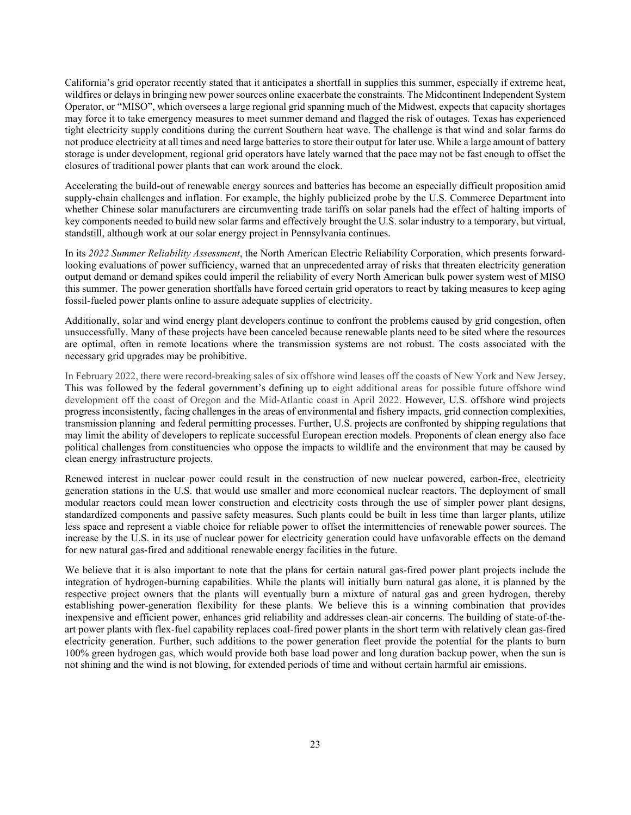California's grid operator recently stated that it anticipates a shortfall in supplies this summer, especially if extreme heat, wildfires or delays in bringing new power sources online [exacerbate the constraints.](https://www.wsj.com/articles/california-scrambles-to-find-electricity-to-offset-plant-closures-11634376600?mod=article_inline) The Midcontinent Independent System Operator, or "MISO", which oversees a large regional grid spanning much of the Midwest, expects that capacity shortages may force it to take emergency measures to meet summer demand and flagged the risk of outages. Texas has experienced tight electricity supply conditions during the current Southern heat wave. The challenge is that wind and solar farms do not produce electricity at all times and need large batteries to store their output for later use. While a large amount of [battery](https://www.wsj.com/articles/battery-storage-soars-on-u-s-electric-grid-11640082783?mod=article_inline)  [storage is under development,](https://www.wsj.com/articles/battery-storage-soars-on-u-s-electric-grid-11640082783?mod=article_inline) regional grid operators have lately warned that the pace may not be fast enough to offset the closures of traditional power plants that can work around the clock.

Accelerating the build-out of renewable energy sources and batteries has become an especially difficult proposition [amid](https://www.wsj.com/articles/shanghai-lockdown-reignites-supply-chain-problems-for-u-s-companies-11651656601?mod=article_inline)  [supply-chain challenges](https://www.wsj.com/articles/shanghai-lockdown-reignites-supply-chain-problems-for-u-s-companies-11651656601?mod=article_inline) and inflation. For example, the highly publicized probe by the U.S. Commerce Department into whether Chinese solar manufacturers are circumventing trade tariffs on solar panels had the effect of halting imports of key components needed to build new solar farms and effectively [brought the U.S. solar industry to a temporary, but virtual,](https://www.wsj.com/articles/the-most-hated-solar-company-in-america-11651752180?mod=article_inline)  [standstill,](https://www.wsj.com/articles/the-most-hated-solar-company-in-america-11651752180?mod=article_inline) although work at our solar energy project in Pennsylvania continues.

In its *2022 Summer Reliability Assessment*, the North American Electric Reliability Corporation, which presents forwardlooking evaluations of power sufficiency, warned that an unprecedented array of risks that threaten electricity generation output demand or demand spikes could imperil the reliability of every North American bulk power system west of MISO this summer. The power generation shortfalls have forced certain grid operators to react by taking measures to keep aging fossil-fueled power plants online to assure adequate supplies of electricity.

Additionally, solar and wind energy plant developers continue to confront the problems caused by grid congestion, often unsuccessfully. Many of these projects have been canceled because renewable plants need to be sited where the resources are optimal, often in remote locations where the transmission systems are not robust. The costs associated with the necessary grid upgrades may be prohibitive.

In February 2022, there were record-breaking sales of six offshore wind leases off the coasts of New York and New Jersey. This was followed by the federal government's defining up to eight additional areas for possible future offshore wind development off the coast of Oregon and the Mid-Atlantic coast in April 2022. However, U.S. offshore wind projects progress inconsistently, facing challenges in the areas of environmental and fishery impacts, grid connection complexities, transmission planning and federal permitting processes. Further, U.S. projects are confronted by shipping regulations that may limit the ability of developers to replicate successful European erection models. Proponents of clean energy also face political challenges from constituencies who oppose the impacts to wildlife and the environment that may be caused by clean energy infrastructure projects.

Renewed interest in nuclear power could result in the construction of new nuclear powered, carbon-free, electricity generation stations in the U.S. that would use smaller and more economical nuclear reactors. The deployment of small modular reactors could mean lower construction and electricity costs through the use of simpler power plant designs, standardized components and passive safety measures. Such plants could be built in less time than larger plants, utilize less space and represent a viable choice for reliable power to offset the intermittencies of renewable power sources. The increase by the U.S. in its use of nuclear power for electricity generation could have unfavorable effects on the demand for new natural gas-fired and additional renewable energy facilities in the future.

We believe that it is also important to note that the plans for certain natural gas-fired power plant projects include the integration of hydrogen-burning capabilities. While the plants will initially burn natural gas alone, it is planned by the respective project owners that the plants will eventually burn a mixture of natural gas and green hydrogen, thereby establishing power-generation flexibility for these plants. We believe this is a winning combination that provides inexpensive and efficient power, enhances grid reliability and addresses clean-air concerns. The building of state-of-theart power plants with flex-fuel capability replaces coal-fired power plants in the short term with relatively clean gas-fired electricity generation. Further, such additions to the power generation fleet provide the potential for the plants to burn 100% green hydrogen gas, which would provide both base load power and long duration backup power, when the sun is not shining and the wind is not blowing, for extended periods of time and without certain harmful air emissions.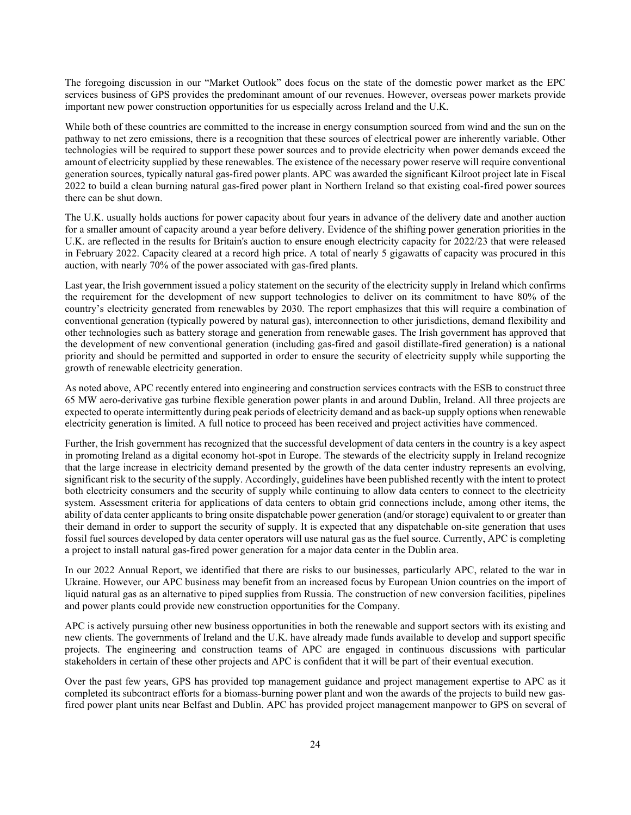The foregoing discussion in our "Market Outlook" does focus on the state of the domestic power market as the EPC services business of GPS provides the predominant amount of our revenues. However, overseas power markets provide important new power construction opportunities for us especially across Ireland and the U.K.

While both of these countries are committed to the increase in energy consumption sourced from wind and the sun on the pathway to net zero emissions, there is a recognition that these sources of electrical power are inherently variable. Other technologies will be required to support these power sources and to provide electricity when power demands exceed the amount of electricity supplied by these renewables. The existence of the necessary power reserve will require conventional generation sources, typically natural gas-fired power plants. APC was awarded the significant Kilroot project late in Fiscal 2022 to build a clean burning natural gas-fired power plant in Northern Ireland so that existing coal-fired power sources there can be shut down.

The U.K. usually holds auctions for power capacity about four years in advance of the delivery date and another auction for a smaller amount of capacity around a year before delivery. Evidence of the shifting power generation priorities in the U.K. are reflected in the results for Britain's auction to ensure enough electricity capacity for 2022/23 that were released in February 2022. Capacity cleared at a record high price. A total of nearly 5 gigawatts of capacity was procured in this auction, with nearly 70% of the power associated with gas-fired plants.

Last year, the Irish government issued a policy statement on the security of the electricity supply in Ireland which confirms the requirement for the development of new support technologies to deliver on its commitment to have 80% of the country's electricity generated from renewables by 2030. The report emphasizes that this will require a combination of conventional generation (typically powered by natural gas), interconnection to other jurisdictions, demand flexibility and other technologies such as battery storage and generation from renewable gases. The Irish government has approved that the development of new conventional generation (including gas-fired and gasoil distillate-fired generation) is a national priority and should be permitted and supported in order to ensure the security of electricity supply while supporting the growth of renewable electricity generation.

As noted above, APC recently entered into engineering and construction services contracts with the ESB to construct three 65 MW aero-derivative gas turbine flexible generation power plants in and around Dublin, Ireland. All three projects are expected to operate intermittently during peak periods of electricity demand and as back-up supply options when renewable electricity generation is limited. A full notice to proceed has been received and project activities have commenced.

Further, the Irish government has recognized that the successful development of data centers in the country is a key aspect in promoting Ireland as a digital economy hot-spot in Europe. The stewards of the electricity supply in Ireland recognize that the large increase in electricity demand presented by the growth of the data center industry represents an evolving, significant risk to the security of the supply. Accordingly, guidelines have been published recently with the intent to protect both electricity consumers and the security of supply while continuing to allow data centers to connect to the electricity system. Assessment criteria for applications of data centers to obtain grid connections include, among other items, the ability of data center applicants to bring onsite dispatchable power generation (and/or storage) equivalent to or greater than their demand in order to support the security of supply. It is expected that any dispatchable on-site generation that uses fossil fuel sources developed by data center operators will use natural gas as the fuel source. Currently, APC is completing a project to install natural gas-fired power generation for a major data center in the Dublin area.

In our 2022 Annual Report, we identified that there are risks to our businesses, particularly APC, related to the war in Ukraine. However, our APC business may benefit from an increased focus by European Union countries on the import of liquid natural gas as an alternative to piped supplies from Russia. The construction of new conversion facilities, pipelines and power plants could provide new construction opportunities for the Company.

APC is actively pursuing other new business opportunities in both the renewable and support sectors with its existing and new clients. The governments of Ireland and the U.K. have already made funds available to develop and support specific projects. The engineering and construction teams of APC are engaged in continuous discussions with particular stakeholders in certain of these other projects and APC is confident that it will be part of their eventual execution.

Over the past few years, GPS has provided top management guidance and project management expertise to APC as it completed its subcontract efforts for a biomass-burning power plant and won the awards of the projects to build new gasfired power plant units near Belfast and Dublin. APC has provided project management manpower to GPS on several of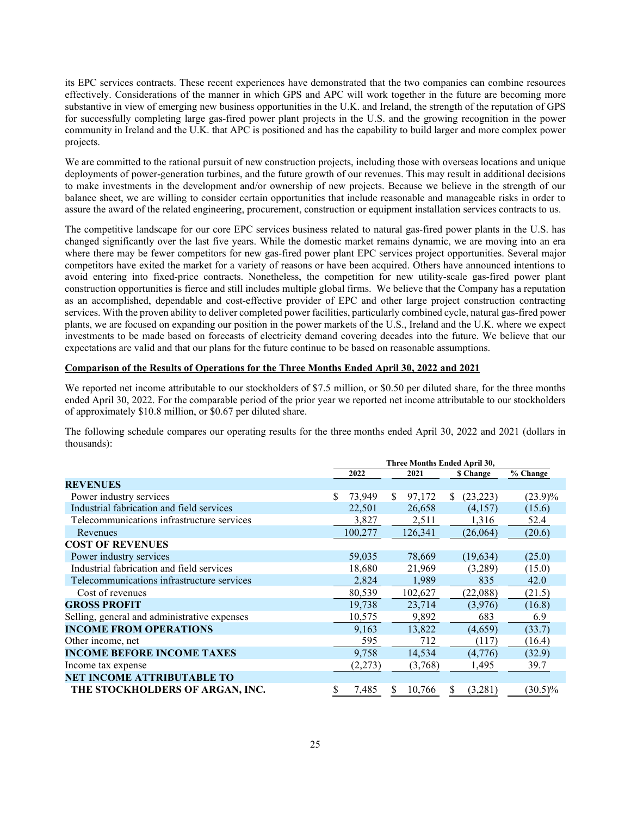its EPC services contracts. These recent experiences have demonstrated that the two companies can combine resources effectively. Considerations of the manner in which GPS and APC will work together in the future are becoming more substantive in view of emerging new business opportunities in the U.K. and Ireland, the strength of the reputation of GPS for successfully completing large gas-fired power plant projects in the U.S. and the growing recognition in the power community in Ireland and the U.K. that APC is positioned and has the capability to build larger and more complex power projects.

We are committed to the rational pursuit of new construction projects, including those with overseas locations and unique deployments of power-generation turbines, and the future growth of our revenues. This may result in additional decisions to make investments in the development and/or ownership of new projects. Because we believe in the strength of our balance sheet, we are willing to consider certain opportunities that include reasonable and manageable risks in order to assure the award of the related engineering, procurement, construction or equipment installation services contracts to us.

The competitive landscape for our core EPC services business related to natural gas-fired power plants in the U.S. has changed significantly over the last five years. While the domestic market remains dynamic, we are moving into an era where there may be fewer competitors for new gas-fired power plant EPC services project opportunities. Several major competitors have exited the market for a variety of reasons or have been acquired. Others have announced intentions to avoid entering into fixed-price contracts. Nonetheless, the competition for new utility-scale gas-fired power plant construction opportunities is fierce and still includes multiple global firms. We believe that the Company has a reputation as an accomplished, dependable and cost-effective provider of EPC and other large project construction contracting services. With the proven ability to deliver completed power facilities, particularly combined cycle, natural gas-fired power plants, we are focused on expanding our position in the power markets of the U.S., Ireland and the U.K. where we expect investments to be made based on forecasts of electricity demand covering decades into the future. We believe that our expectations are valid and that our plans for the future continue to be based on reasonable assumptions.

## **Comparison of the Results of Operations for the Three Months Ended April 30, 2022 and 2021**

We reported net income attributable to our stockholders of \$7.5 million, or \$0.50 per diluted share, for the three months ended April 30, 2022. For the comparable period of the prior year we reported net income attributable to our stockholders of approximately \$10.8 million, or \$0.67 per diluted share.

The following schedule compares our operating results for the three months ended April 30, 2022 and 2021 (dollars in thousands):

|                                              | Three Months Ended April 30, |         |              |         |              |                 |            |
|----------------------------------------------|------------------------------|---------|--------------|---------|--------------|-----------------|------------|
|                                              | 2022                         |         |              | 2021    |              | <b>S</b> Change | % Change   |
| <b>REVENUES</b>                              |                              |         |              |         |              |                 |            |
| Power industry services                      | \$.                          | 73,949  | <sup>S</sup> | 97,172  | <sup>S</sup> | (23, 223)       | $(23.9)\%$ |
| Industrial fabrication and field services    |                              | 22,501  |              | 26,658  |              | (4,157)         | (15.6)     |
| Telecommunications infrastructure services   |                              | 3,827   |              | 2,511   |              | 1,316           | 52.4       |
| Revenues                                     |                              | 100,277 |              | 126,341 |              | (26,064)        | (20.6)     |
| <b>COST OF REVENUES</b>                      |                              |         |              |         |              |                 |            |
| Power industry services                      |                              | 59,035  |              | 78,669  |              | (19, 634)       | (25.0)     |
| Industrial fabrication and field services    |                              | 18,680  |              | 21,969  |              | (3,289)         | (15.0)     |
| Telecommunications infrastructure services   |                              | 2,824   |              | 1,989   |              | 835             | 42.0       |
| Cost of revenues                             |                              | 80,539  |              | 102,627 |              | (22,088)        | (21.5)     |
| <b>GROSS PROFIT</b>                          |                              | 19,738  |              | 23,714  |              | (3,976)         | (16.8)     |
| Selling, general and administrative expenses |                              | 10,575  |              | 9,892   |              | 683             | 6.9        |
| <b>INCOME FROM OPERATIONS</b>                |                              | 9,163   |              | 13,822  |              | (4,659)         | (33.7)     |
| Other income, net                            |                              | 595     |              | 712     |              | (117)           | (16.4)     |
| <b>INCOME BEFORE INCOME TAXES</b>            |                              | 9,758   |              | 14,534  |              | (4,776)         | (32.9)     |
| Income tax expense                           |                              | (2,273) |              | (3,768) |              | 1,495           | 39.7       |
| <b>NET INCOME ATTRIBUTABLE TO</b>            |                              |         |              |         |              |                 |            |
| THE STOCKHOLDERS OF ARGAN, INC.              | S                            | 7,485   | S            | 10,766  | Ж            | (3,281)         | $(30.5)\%$ |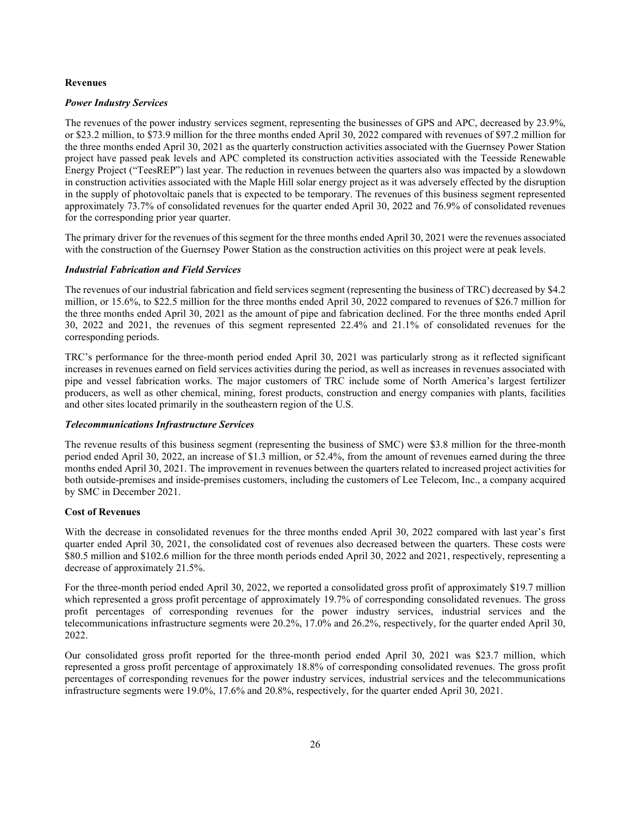#### **Revenues**

#### *Power Industry Services*

The revenues of the power industry services segment, representing the businesses of GPS and APC, decreased by 23.9%, or \$23.2 million, to \$73.9 million for the three months ended April 30, 2022 compared with revenues of \$97.2 million for the three months ended April 30, 2021 as the quarterly construction activities associated with the Guernsey Power Station project have passed peak levels and APC completed its construction activities associated with the Teesside Renewable Energy Project ("TeesREP") last year. The reduction in revenues between the quarters also was impacted by a slowdown in construction activities associated with the Maple Hill solar energy project as it was adversely effected by the disruption in the supply of photovoltaic panels that is expected to be temporary. The revenues of this business segment represented approximately 73.7% of consolidated revenues for the quarter ended April 30, 2022 and 76.9% of consolidated revenues for the corresponding prior year quarter.

The primary driver for the revenues of this segment for the three months ended April 30, 2021 were the revenues associated with the construction of the Guernsey Power Station as the construction activities on this project were at peak levels.

#### *Industrial Fabrication and Field Services*

The revenues of our industrial fabrication and field services segment (representing the business of TRC) decreased by \$4.2 million, or 15.6%, to \$22.5 million for the three months ended April 30, 2022 compared to revenues of \$26.7 million for the three months ended April 30, 2021 as the amount of pipe and fabrication declined. For the three months ended April 30, 2022 and 2021, the revenues of this segment represented 22.4% and 21.1% of consolidated revenues for the corresponding periods.

TRC's performance for the three-month period ended April 30, 2021 was particularly strong as it reflected significant increases in revenues earned on field services activities during the period, as well as increases in revenues associated with pipe and vessel fabrication works. The major customers of TRC include some of North America's largest fertilizer producers, as well as other chemical, mining, forest products, construction and energy companies with plants, facilities and other sites located primarily in the southeastern region of the U.S.

## *Telecommunications Infrastructure Services*

The revenue results of this business segment (representing the business of SMC) were \$3.8 million for the three-month period ended April 30, 2022, an increase of \$1.3 million, or 52.4%, from the amount of revenues earned during the three months ended April 30, 2021. The improvement in revenues between the quarters related to increased project activities for both outside-premises and inside-premises customers, including the customers of Lee Telecom, Inc., a company acquired by SMC in December 2021.

## **Cost of Revenues**

With the decrease in consolidated revenues for the three months ended April 30, 2022 compared with last year's first quarter ended April 30, 2021, the consolidated cost of revenues also decreased between the quarters. These costs were \$80.5 million and \$102.6 million for the three month periods ended April 30, 2022 and 2021, respectively, representing a decrease of approximately 21.5%.

For the three-month period ended April 30, 2022, we reported a consolidated gross profit of approximately \$19.7 million which represented a gross profit percentage of approximately 19.7% of corresponding consolidated revenues. The gross profit percentages of corresponding revenues for the power industry services, industrial services and the telecommunications infrastructure segments were 20.2%, 17.0% and 26.2%, respectively, for the quarter ended April 30, 2022.

Our consolidated gross profit reported for the three-month period ended April 30, 2021 was \$23.7 million, which represented a gross profit percentage of approximately 18.8% of corresponding consolidated revenues. The gross profit percentages of corresponding revenues for the power industry services, industrial services and the telecommunications infrastructure segments were 19.0%, 17.6% and 20.8%, respectively, for the quarter ended April 30, 2021.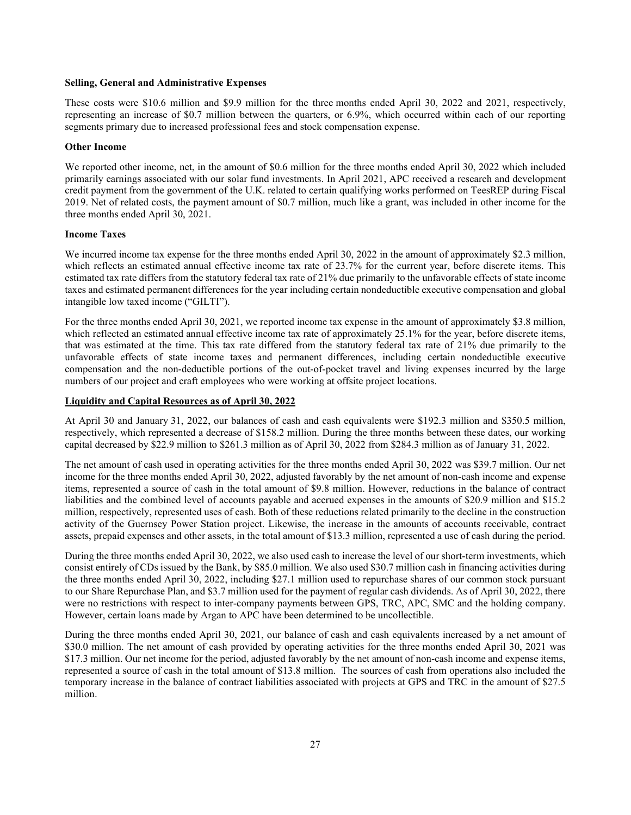#### **Selling, General and Administrative Expenses**

These costs were \$10.6 million and \$9.9 million for the three months ended April 30, 2022 and 2021, respectively, representing an increase of \$0.7 million between the quarters, or 6.9%, which occurred within each of our reporting segments primary due to increased professional fees and stock compensation expense.

#### **Other Income**

We reported other income, net, in the amount of \$0.6 million for the three months ended April 30, 2022 which included primarily earnings associated with our solar fund investments. In April 2021, APC received a research and development credit payment from the government of the U.K. related to certain qualifying works performed on TeesREP during Fiscal 2019. Net of related costs, the payment amount of \$0.7 million, much like a grant, was included in other income for the three months ended April 30, 2021.

#### **Income Taxes**

We incurred income tax expense for the three months ended April 30, 2022 in the amount of approximately \$2.3 million, which reflects an estimated annual effective income tax rate of 23.7% for the current year, before discrete items. This estimated tax rate differs from the statutory federal tax rate of 21% due primarily to the unfavorable effects of state income taxes and estimated permanent differences for the year including certain nondeductible executive compensation and global intangible low taxed income ("GILTI").

For the three months ended April 30, 2021, we reported income tax expense in the amount of approximately \$3.8 million, which reflected an estimated annual effective income tax rate of approximately 25.1% for the year, before discrete items, that was estimated at the time. This tax rate differed from the statutory federal tax rate of 21% due primarily to the unfavorable effects of state income taxes and permanent differences, including certain nondeductible executive compensation and the non-deductible portions of the out-of-pocket travel and living expenses incurred by the large numbers of our project and craft employees who were working at offsite project locations.

## **Liquidity and Capital Resources as of April 30, 2022**

At April 30 and January 31, 2022, our balances of cash and cash equivalents were \$192.3 million and \$350.5 million, respectively, which represented a decrease of \$158.2 million. During the three months between these dates, our working capital decreased by \$22.9 million to \$261.3 million as of April 30, 2022 from \$284.3 million as of January 31, 2022.

The net amount of cash used in operating activities for the three months ended April 30, 2022 was \$39.7 million. Our net income for the three months ended April 30, 2022, adjusted favorably by the net amount of non-cash income and expense items, represented a source of cash in the total amount of \$9.8 million. However, reductions in the balance of contract liabilities and the combined level of accounts payable and accrued expenses in the amounts of \$20.9 million and \$15.2 million, respectively, represented uses of cash. Both of these reductions related primarily to the decline in the construction activity of the Guernsey Power Station project. Likewise, the increase in the amounts of accounts receivable, contract assets, prepaid expenses and other assets, in the total amount of \$13.3 million, represented a use of cash during the period.

During the three months ended April 30, 2022, we also used cash to increase the level of our short-term investments, which consist entirely of CDs issued by the Bank, by \$85.0 million. We also used \$30.7 million cash in financing activities during the three months ended April 30, 2022, including \$27.1 million used to repurchase shares of our common stock pursuant to our Share Repurchase Plan, and \$3.7 million used for the payment of regular cash dividends. As of April 30, 2022, there were no restrictions with respect to inter-company payments between GPS, TRC, APC, SMC and the holding company. However, certain loans made by Argan to APC have been determined to be uncollectible.

During the three months ended April 30, 2021, our balance of cash and cash equivalents increased by a net amount of \$30.0 million. The net amount of cash provided by operating activities for the three months ended April 30, 2021 was \$17.3 million. Our net income for the period, adjusted favorably by the net amount of non-cash income and expense items, represented a source of cash in the total amount of \$13.8 million. The sources of cash from operations also included the temporary increase in the balance of contract liabilities associated with projects at GPS and TRC in the amount of \$27.5 million.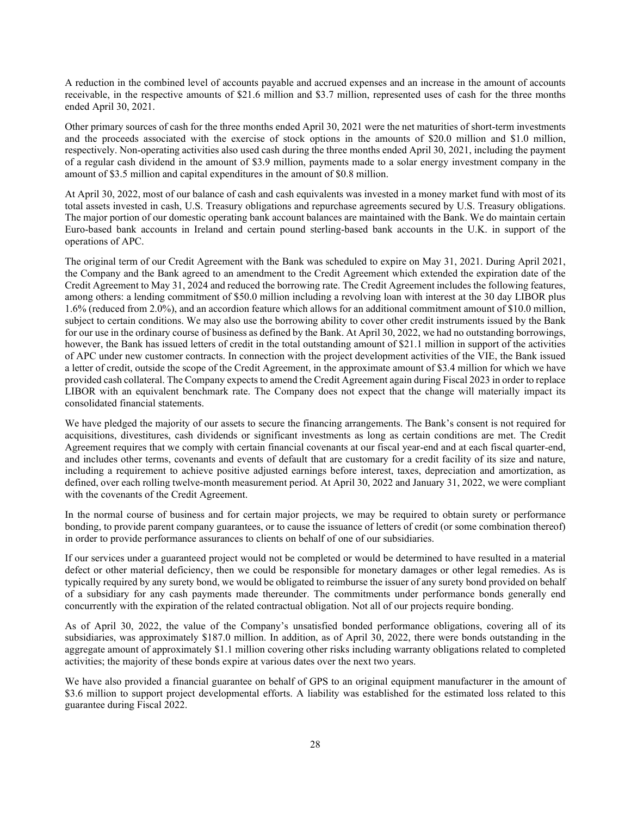A reduction in the combined level of accounts payable and accrued expenses and an increase in the amount of accounts receivable, in the respective amounts of \$21.6 million and \$3.7 million, represented uses of cash for the three months ended April 30, 2021.

Other primary sources of cash for the three months ended April 30, 2021 were the net maturities of short-term investments and the proceeds associated with the exercise of stock options in the amounts of \$20.0 million and \$1.0 million, respectively. Non-operating activities also used cash during the three months ended April 30, 2021, including the payment of a regular cash dividend in the amount of \$3.9 million, payments made to a solar energy investment company in the amount of \$3.5 million and capital expenditures in the amount of \$0.8 million.

At April 30, 2022, most of our balance of cash and cash equivalents was invested in a money market fund with most of its total assets invested in cash, U.S. Treasury obligations and repurchase agreements secured by U.S. Treasury obligations. The major portion of our domestic operating bank account balances are maintained with the Bank. We do maintain certain Euro-based bank accounts in Ireland and certain pound sterling-based bank accounts in the U.K. in support of the operations of APC.

The original term of our Credit Agreement with the Bank was scheduled to expire on May 31, 2021. During April 2021, the Company and the Bank agreed to an amendment to the Credit Agreement which extended the expiration date of the Credit Agreement to May 31, 2024 and reduced the borrowing rate. The Credit Agreement includes the following features, among others: a lending commitment of \$50.0 million including a revolving loan with interest at the 30 day LIBOR plus 1.6% (reduced from 2.0%), and an accordion feature which allows for an additional commitment amount of \$10.0 million, subject to certain conditions. We may also use the borrowing ability to cover other credit instruments issued by the Bank for our use in the ordinary course of business as defined by the Bank. At April 30, 2022, we had no outstanding borrowings, however, the Bank has issued letters of credit in the total outstanding amount of \$21.1 million in support of the activities of APC under new customer contracts. In connection with the project development activities of the VIE, the Bank issued a letter of credit, outside the scope of the Credit Agreement, in the approximate amount of \$3.4 million for which we have provided cash collateral. The Company expects to amend the Credit Agreement again during Fiscal 2023 in order to replace LIBOR with an equivalent benchmark rate. The Company does not expect that the change will materially impact its consolidated financial statements.

We have pledged the majority of our assets to secure the financing arrangements. The Bank's consent is not required for acquisitions, divestitures, cash dividends or significant investments as long as certain conditions are met. The Credit Agreement requires that we comply with certain financial covenants at our fiscal year-end and at each fiscal quarter-end, and includes other terms, covenants and events of default that are customary for a credit facility of its size and nature, including a requirement to achieve positive adjusted earnings before interest, taxes, depreciation and amortization, as defined, over each rolling twelve-month measurement period. At April 30, 2022 and January 31, 2022, we were compliant with the covenants of the Credit Agreement.

In the normal course of business and for certain major projects, we may be required to obtain surety or performance bonding, to provide parent company guarantees, or to cause the issuance of letters of credit (or some combination thereof) in order to provide performance assurances to clients on behalf of one of our subsidiaries.

If our services under a guaranteed project would not be completed or would be determined to have resulted in a material defect or other material deficiency, then we could be responsible for monetary damages or other legal remedies. As is typically required by any surety bond, we would be obligated to reimburse the issuer of any surety bond provided on behalf of a subsidiary for any cash payments made thereunder. The commitments under performance bonds generally end concurrently with the expiration of the related contractual obligation. Not all of our projects require bonding.

As of April 30, 2022, the value of the Company's unsatisfied bonded performance obligations, covering all of its subsidiaries, was approximately \$187.0 million. In addition, as of April 30, 2022, there were bonds outstanding in the aggregate amount of approximately \$1.1 million covering other risks including warranty obligations related to completed activities; the majority of these bonds expire at various dates over the next two years.

We have also provided a financial guarantee on behalf of GPS to an original equipment manufacturer in the amount of \$3.6 million to support project developmental efforts. A liability was established for the estimated loss related to this guarantee during Fiscal 2022.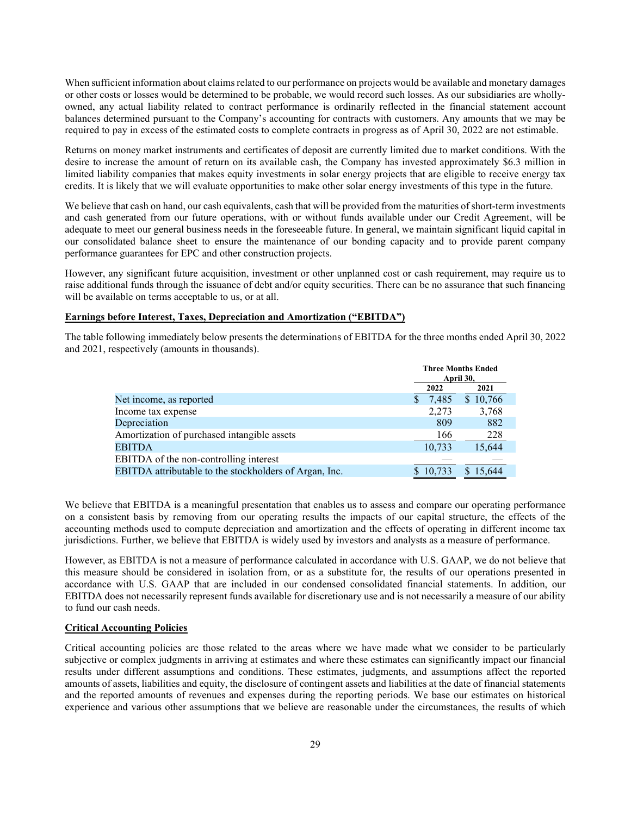When sufficient information about claims related to our performance on projects would be available and monetary damages or other costs or losses would be determined to be probable, we would record such losses. As our subsidiaries are whollyowned, any actual liability related to contract performance is ordinarily reflected in the financial statement account balances determined pursuant to the Company's accounting for contracts with customers. Any amounts that we may be required to pay in excess of the estimated costs to complete contracts in progress as of April 30, 2022 are not estimable.

Returns on money market instruments and certificates of deposit are currently limited due to market conditions. With the desire to increase the amount of return on its available cash, the Company has invested approximately \$6.3 million in limited liability companies that makes equity investments in solar energy projects that are eligible to receive energy tax credits. It is likely that we will evaluate opportunities to make other solar energy investments of this type in the future.

We believe that cash on hand, our cash equivalents, cash that will be provided from the maturities of short-term investments and cash generated from our future operations, with or without funds available under our Credit Agreement, will be adequate to meet our general business needs in the foreseeable future. In general, we maintain significant liquid capital in our consolidated balance sheet to ensure the maintenance of our bonding capacity and to provide parent company performance guarantees for EPC and other construction projects.

However, any significant future acquisition, investment or other unplanned cost or cash requirement, may require us to raise additional funds through the issuance of debt and/or equity securities. There can be no assurance that such financing will be available on terms acceptable to us, or at all.

## **Earnings before Interest, Taxes, Depreciation and Amortization ("EBITDA")**

The table following immediately below presents the determinations of EBITDA for the three months ended April 30, 2022 and 2021, respectively (amounts in thousands).

|                                                        | <b>Three Months Ended</b><br>April 30, |          |          |
|--------------------------------------------------------|----------------------------------------|----------|----------|
|                                                        |                                        | 2021     |          |
| Net income, as reported                                |                                        | 7,485    | \$10,766 |
| Income tax expense                                     |                                        | 2.273    | 3,768    |
| Depreciation                                           |                                        | 809      | 882      |
| Amortization of purchased intangible assets            |                                        | 166      | 228      |
| <b>EBITDA</b>                                          |                                        | 10,733   | 15,644   |
| EBITDA of the non-controlling interest                 |                                        |          |          |
| EBITDA attributable to the stockholders of Argan, Inc. |                                        | \$10.733 | 15,644   |

We believe that EBITDA is a meaningful presentation that enables us to assess and compare our operating performance on a consistent basis by removing from our operating results the impacts of our capital structure, the effects of the accounting methods used to compute depreciation and amortization and the effects of operating in different income tax jurisdictions. Further, we believe that EBITDA is widely used by investors and analysts as a measure of performance.

However, as EBITDA is not a measure of performance calculated in accordance with U.S. GAAP, we do not believe that this measure should be considered in isolation from, or as a substitute for, the results of our operations presented in accordance with U.S. GAAP that are included in our condensed consolidated financial statements. In addition, our EBITDA does not necessarily represent funds available for discretionary use and is not necessarily a measure of our ability to fund our cash needs.

#### **Critical Accounting Policies**

Critical accounting policies are those related to the areas where we have made what we consider to be particularly subjective or complex judgments in arriving at estimates and where these estimates can significantly impact our financial results under different assumptions and conditions. These estimates, judgments, and assumptions affect the reported amounts of assets, liabilities and equity, the disclosure of contingent assets and liabilities at the date of financial statements and the reported amounts of revenues and expenses during the reporting periods. We base our estimates on historical experience and various other assumptions that we believe are reasonable under the circumstances, the results of which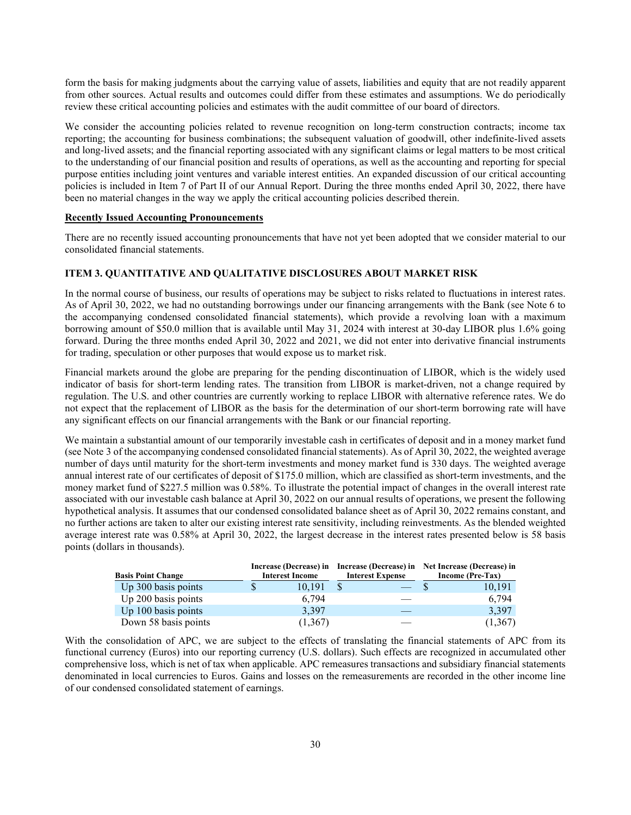form the basis for making judgments about the carrying value of assets, liabilities and equity that are not readily apparent from other sources. Actual results and outcomes could differ from these estimates and assumptions. We do periodically review these critical accounting policies and estimates with the audit committee of our board of directors.

We consider the accounting policies related to revenue recognition on long-term construction contracts; income tax reporting; the accounting for business combinations; the subsequent valuation of goodwill, other indefinite-lived assets and long-lived assets; and the financial reporting associated with any significant claims or legal matters to be most critical to the understanding of our financial position and results of operations, as well as the accounting and reporting for special purpose entities including joint ventures and variable interest entities. An expanded discussion of our critical accounting policies is included in Item 7 of Part II of our Annual Report. During the three months ended April 30, 2022, there have been no material changes in the way we apply the critical accounting policies described therein.

#### **Recently Issued Accounting Pronouncements**

There are no recently issued accounting pronouncements that have not yet been adopted that we consider material to our consolidated financial statements.

## **ITEM 3. QUANTITATIVE AND QUALITATIVE DISCLOSURES ABOUT MARKET RISK**

In the normal course of business, our results of operations may be subject to risks related to fluctuations in interest rates. As of April 30, 2022, we had no outstanding borrowings under our financing arrangements with the Bank (see Note 6 to the accompanying condensed consolidated financial statements), which provide a revolving loan with a maximum borrowing amount of \$50.0 million that is available until May 31, 2024 with interest at 30-day LIBOR plus 1.6% going forward. During the three months ended April 30, 2022 and 2021, we did not enter into derivative financial instruments for trading, speculation or other purposes that would expose us to market risk.

Financial markets around the globe are preparing for the pending discontinuation of LIBOR, which is the widely used indicator of basis for short-term lending rates. The transition from LIBOR is market-driven, not a change required by regulation. The U.S. and other countries are currently working to replace LIBOR with alternative reference rates. We do not expect that the replacement of LIBOR as the basis for the determination of our short-term borrowing rate will have any significant effects on our financial arrangements with the Bank or our financial reporting.

We maintain a substantial amount of our temporarily investable cash in certificates of deposit and in a money market fund (see Note 3 of the accompanying condensed consolidated financial statements). As of April 30, 2022, the weighted average number of days until maturity for the short-term investments and money market fund is 330 days. The weighted average annual interest rate of our certificates of deposit of \$175.0 million, which are classified as short-term investments, and the money market fund of \$227.5 million was 0.58%. To illustrate the potential impact of changes in the overall interest rate associated with our investable cash balance at April 30, 2022 on our annual results of operations, we present the following hypothetical analysis. It assumes that our condensed consolidated balance sheet as of April 30, 2022 remains constant, and no further actions are taken to alter our existing interest rate sensitivity, including reinvestments. As the blended weighted average interest rate was 0.58% at April 30, 2022, the largest decrease in the interest rates presented below is 58 basis points (dollars in thousands).

| <b>Basis Point Change</b> | <b>Interest Income</b> | <b>Interest Expense</b> | Increase (Decrease) in Increase (Decrease) in Net Increase (Decrease) in<br>Income (Pre-Tax) |
|---------------------------|------------------------|-------------------------|----------------------------------------------------------------------------------------------|
| Up 300 basis points       | 10.191                 |                         | 10,191                                                                                       |
| Up 200 basis points       | 6.794                  |                         | 6.794                                                                                        |
| Up 100 basis points       | 3,397                  |                         | 3,397                                                                                        |
| Down 58 basis points      | (1,367)                |                         | (1,367)                                                                                      |

With the consolidation of APC, we are subject to the effects of translating the financial statements of APC from its functional currency (Euros) into our reporting currency (U.S. dollars). Such effects are recognized in accumulated other comprehensive loss, which is net of tax when applicable. APC remeasures transactions and subsidiary financial statements denominated in local currencies to Euros. Gains and losses on the remeasurements are recorded in the other income line of our condensed consolidated statement of earnings.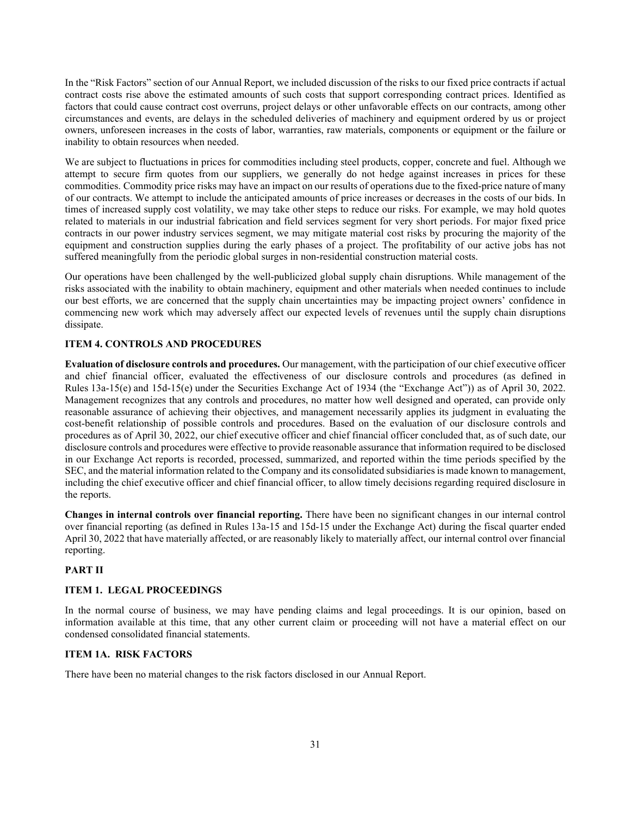In the "Risk Factors" section of our Annual Report, we included discussion of the risks to our fixed price contracts if actual contract costs rise above the estimated amounts of such costs that support corresponding contract prices. Identified as factors that could cause contract cost overruns, project delays or other unfavorable effects on our contracts, among other circumstances and events, are delays in the scheduled deliveries of machinery and equipment ordered by us or project owners, unforeseen increases in the costs of labor, warranties, raw materials, components or equipment or the failure or inability to obtain resources when needed.

We are subject to fluctuations in prices for commodities including steel products, copper, concrete and fuel. Although we attempt to secure firm quotes from our suppliers, we generally do not hedge against increases in prices for these commodities. Commodity price risks may have an impact on our results of operations due to the fixed-price nature of many of our contracts. We attempt to include the anticipated amounts of price increases or decreases in the costs of our bids. In times of increased supply cost volatility, we may take other steps to reduce our risks. For example, we may hold quotes related to materials in our industrial fabrication and field services segment for very short periods. For major fixed price contracts in our power industry services segment, we may mitigate material cost risks by procuring the majority of the equipment and construction supplies during the early phases of a project. The profitability of our active jobs has not suffered meaningfully from the periodic global surges in non-residential construction material costs.

Our operations have been challenged by the well-publicized global supply chain disruptions. While management of the risks associated with the inability to obtain machinery, equipment and other materials when needed continues to include our best efforts, we are concerned that the supply chain uncertainties may be impacting project owners' confidence in commencing new work which may adversely affect our expected levels of revenues until the supply chain disruptions dissipate.

## **ITEM 4. CONTROLS AND PROCEDURES**

**Evaluation of disclosure controls and procedures.** Our management, with the participation of our chief executive officer and chief financial officer, evaluated the effectiveness of our disclosure controls and procedures (as defined in Rules 13a-15(e) and 15d-15(e) under the Securities Exchange Act of 1934 (the "Exchange Act")) as of April 30, 2022. Management recognizes that any controls and procedures, no matter how well designed and operated, can provide only reasonable assurance of achieving their objectives, and management necessarily applies its judgment in evaluating the cost-benefit relationship of possible controls and procedures. Based on the evaluation of our disclosure controls and procedures as of April 30, 2022, our chief executive officer and chief financial officer concluded that, as of such date, our disclosure controls and procedures were effective to provide reasonable assurance that information required to be disclosed in our Exchange Act reports is recorded, processed, summarized, and reported within the time periods specified by the SEC, and the material information related to the Company and its consolidated subsidiaries is made known to management, including the chief executive officer and chief financial officer, to allow timely decisions regarding required disclosure in the reports.

**Changes in internal controls over financial reporting.** There have been no significant changes in our internal control over financial reporting (as defined in Rules 13a-15 and 15d-15 under the Exchange Act) during the fiscal quarter ended April 30, 2022 that have materially affected, or are reasonably likely to materially affect, our internal control over financial reporting.

#### **PART II**

## **ITEM 1. LEGAL PROCEEDINGS**

In the normal course of business, we may have pending claims and legal proceedings. It is our opinion, based on information available at this time, that any other current claim or proceeding will not have a material effect on our condensed consolidated financial statements.

#### **ITEM 1A. RISK FACTORS**

There have been no material changes to the risk factors disclosed in our Annual Report.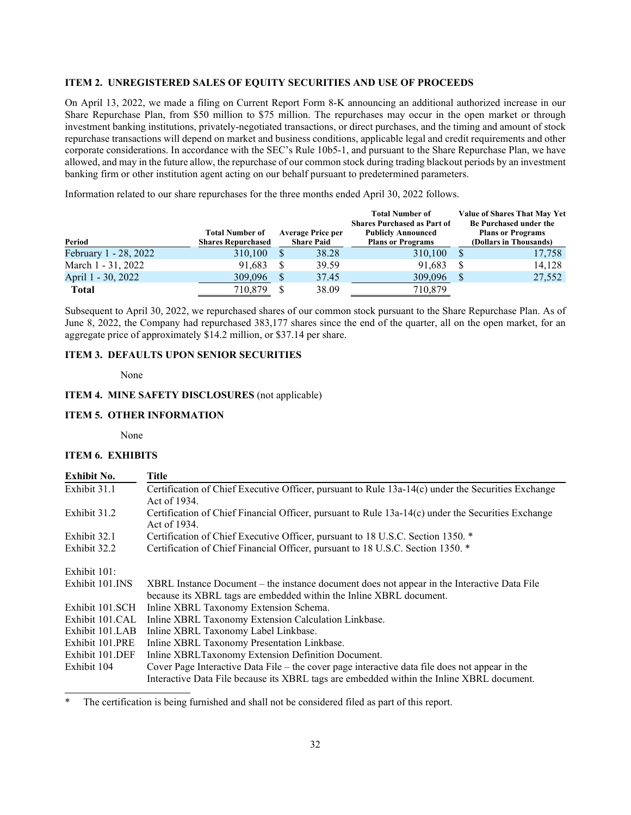## **ITEM 2. UNREGISTERED SALES OF EQUITY SECURITIES AND USE OF PROCEEDS**

On April 13, 2022, we made a filing on Current Report Form 8-K announcing an additional authorized increase in our Share Repurchase Plan, from \$50 million to \$75 million. The repurchases may occur in the open market or through investment banking institutions, privately-negotiated transactions, or direct purchases, and the timing and amount of stock repurchase transactions will depend on market and business conditions, applicable legal and credit requirements and other corporate considerations. In accordance with the SEC's Rule 10b5-1, and pursuant to the Share Repurchase Plan, we have allowed, and may in the future allow, the repurchase of our common stock during trading blackout periods by an investment banking firm or other institution agent acting on our behalf pursuant to predetermined parameters.

Information related to our share repurchases for the three months ended April 30, 2022 follows.

| Period                | <b>Total Number of</b><br><b>Shares Repurchased</b> |              | <b>Average Price per</b><br><b>Share Paid</b> | <b>Total Number of</b><br><b>Shares Purchased as Part of</b><br><b>Publicly Announced</b><br><b>Plans or Programs</b> | <b>Value of Shares That May Yet</b><br>Be Purchased under the<br><b>Plans or Programs</b><br>(Dollars in Thousands) |
|-----------------------|-----------------------------------------------------|--------------|-----------------------------------------------|-----------------------------------------------------------------------------------------------------------------------|---------------------------------------------------------------------------------------------------------------------|
| February 1 - 28, 2022 | 310,100                                             | <sup>S</sup> | 38.28                                         | 310,100                                                                                                               | 17,758                                                                                                              |
| March 1 - 31, 2022    | 91.683                                              | S            | 39.59                                         | 91.683                                                                                                                | 14,128                                                                                                              |
| April 1 - 30, 2022    | 309,096                                             | <sup>S</sup> | 37.45                                         | 309,096                                                                                                               | 27,552                                                                                                              |
| <b>Total</b>          | 710,879                                             |              | 38.09                                         | 710,879                                                                                                               |                                                                                                                     |

Subsequent to April 30, 2022, we repurchased shares of our common stock pursuant to the Share Repurchase Plan. As of June 8, 2022, the Company had repurchased 383,177 shares since the end of the quarter, all on the open market, for an aggregate price of approximately \$14.2 million, or \$37.14 per share.

## **ITEM 3. DEFAULTS UPON SENIOR SECURITIES**

None

#### **ITEM 4. MINE SAFETY DISCLOSURES** (not applicable)

## **ITEM 5. OTHER INFORMATION**

None

## **ITEM 6. EXHIBITS**

| <b>Exhibit No.</b> | Title                                                                                                                                                              |
|--------------------|--------------------------------------------------------------------------------------------------------------------------------------------------------------------|
| Exhibit 31.1       | Certification of Chief Executive Officer, pursuant to Rule 13a-14(c) under the Securities Exchange<br>Act of 1934.                                                 |
| Exhibit 31.2       | Certification of Chief Financial Officer, pursuant to Rule $13a-14(c)$ under the Securities Exchange<br>Act of 1934.                                               |
| Exhibit 32.1       | Certification of Chief Executive Officer, pursuant to 18 U.S.C. Section 1350. *                                                                                    |
| Exhibit 32.2       | Certification of Chief Financial Officer, pursuant to 18 U.S.C. Section 1350. *                                                                                    |
| Exhibit 101:       |                                                                                                                                                                    |
| Exhibit 101.INS    | XBRL Instance Document – the instance document does not appear in the Interactive Data File<br>because its XBRL tags are embedded within the Inline XBRL document. |
| Exhibit 101.SCH    | Inline XBRL Taxonomy Extension Schema.                                                                                                                             |
| Exhibit 101.CAL    | Inline XBRL Taxonomy Extension Calculation Linkbase.                                                                                                               |
| Exhibit 101.LAB    | Inline XBRL Taxonomy Label Linkbase.                                                                                                                               |
| Exhibit 101.PRE    | Inline XBRL Taxonomy Presentation Linkbase.                                                                                                                        |
| Exhibit 101.DEF    | Inline XBRLTaxonomy Extension Definition Document.                                                                                                                 |
| Exhibit 104        | Cover Page Interactive Data File – the cover page interactive data file does not appear in the                                                                     |
|                    | Interactive Data File because its XBRL tags are embedded within the Inline XBRL document.                                                                          |

The certification is being furnished and shall not be considered filed as part of this report.